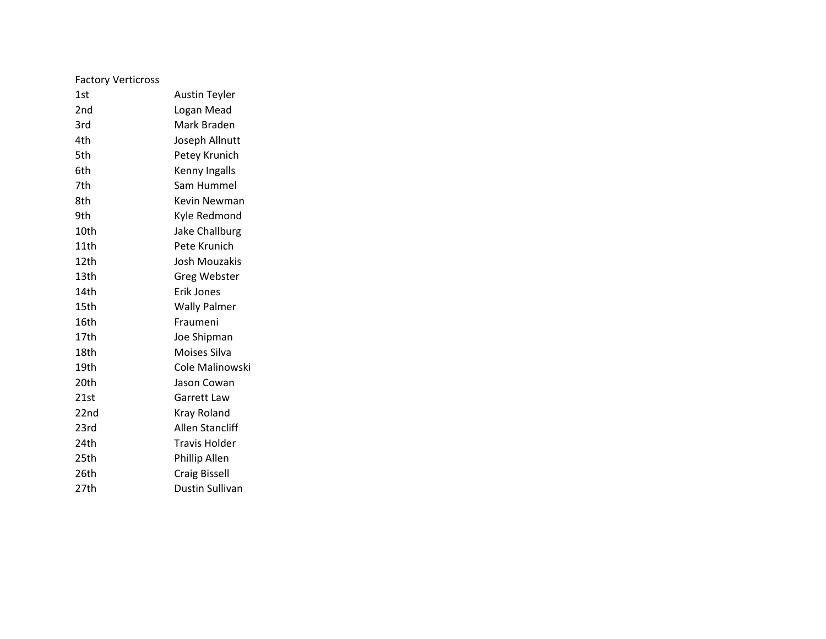| <b>Factory Verticross</b> |                      |
|---------------------------|----------------------|
| 1st                       | <b>Austin Teyler</b> |
| 2nd                       | Logan Mead           |
| 3rd                       | Mark Braden          |
| 4th                       | Joseph Allnutt       |
| 5th                       | Petey Krunich        |
| 6th                       | Kenny Ingalls        |
| 7th                       | Sam Hummel           |
| 8th                       | Kevin Newman         |
| 9th                       | Kyle Redmond         |
| 10th                      | Jake Challburg       |
| 11th                      | Pete Krunich         |
| 12th                      | Josh Mouzakis        |
| 13th                      | <b>Greg Webster</b>  |
| 14th                      | Erik Jones           |
| 15th                      | <b>Wally Palmer</b>  |
| 16th                      | Fraumeni             |
| 17th                      | Joe Shipman          |
| 18th                      | Moises Silva         |
| 19th                      | Cole Malinowski      |
| 20th                      | Jason Cowan          |
| 21st                      | Garrett Law          |
| 22nd                      | Kray Roland          |
| 23rd                      | Allen Stancliff      |
| 24th                      | <b>Travis Holder</b> |
| 25th                      | Phillip Allen        |
| 26th                      | <b>Craig Bissell</b> |
| 27th                      | Dustin Sullivan      |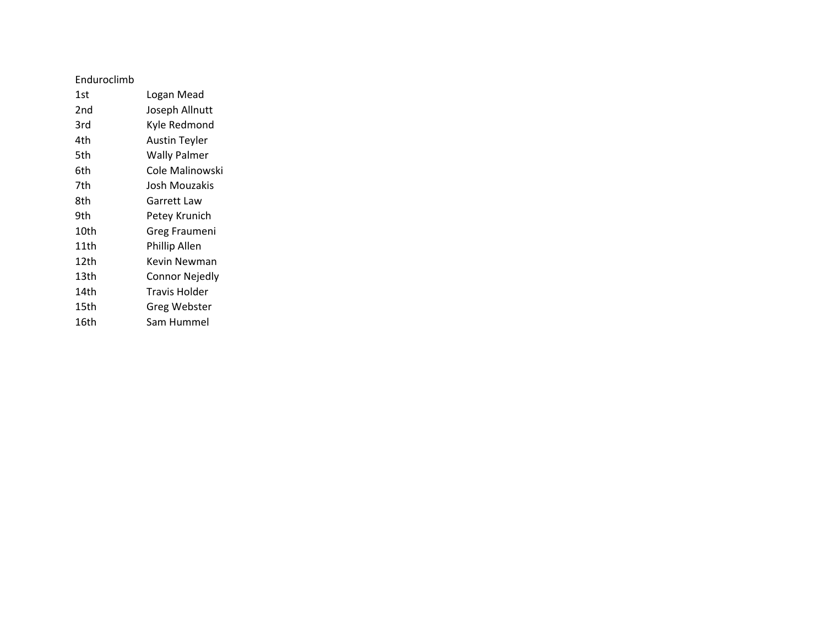## Enduroclimb

| 1st  | Logan Mead            |
|------|-----------------------|
| 2nd  | Joseph Allnutt        |
| 3rd  | Kyle Redmond          |
| 4th  | <b>Austin Teyler</b>  |
| 5th  | <b>Wally Palmer</b>   |
| 6th  | Cole Malinowski       |
| 7th  | Josh Mouzakis         |
| 8th  | Garrett Law           |
| 9th  | Petey Krunich         |
| 10th | Greg Fraumeni         |
| 11th | Phillip Allen         |
| 12th | Kevin Newman          |
| 13th | <b>Connor Nejedly</b> |
| 14th | Travis Holder         |
| 15th | Greg Webster          |
| 16th | Sam Hummel            |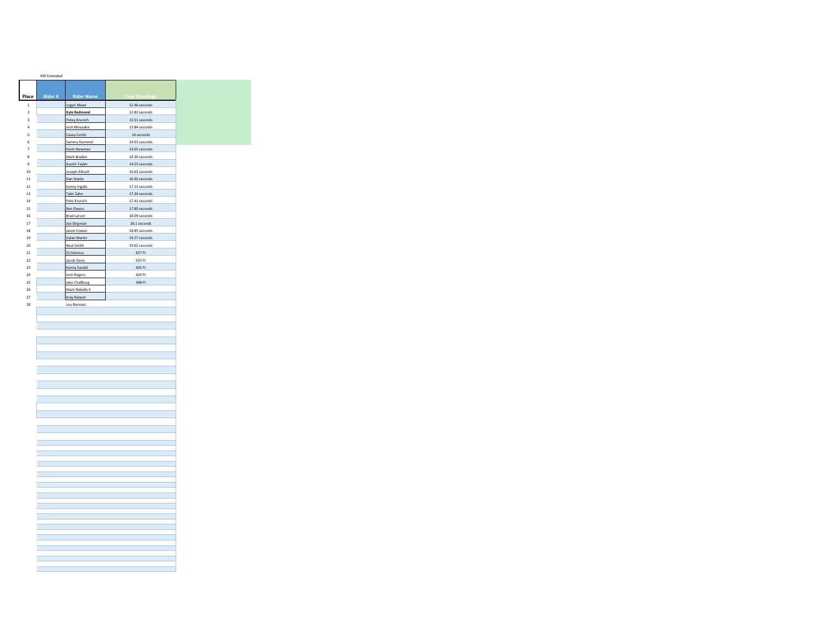|                         | 450 Extended |                       |                        |
|-------------------------|--------------|-----------------------|------------------------|
|                         |              |                       |                        |
|                         |              |                       |                        |
| Place                   | Rider#       | <b>Rider Name</b>     | <b>Final Standings</b> |
| $\mathbf{1}$            |              | Logan Mead            | 12.46 seconds          |
| $\overline{a}$          |              | <b>Kyle Redmond</b>   | 12.82 seconds          |
| $\overline{\mathbf{3}}$ |              | Petey Krunich         | 13.51 seconds          |
| $\ddot{a}$              |              | Josh Mouzakis         | 13.84 seconds          |
| 5                       |              | Casey Curtin          | 14 seconds             |
| 6                       |              | Sammy Hummel          | 14.01 seconds          |
| 7                       |              | Kevin Newman          | 14.05 seconds          |
| 8                       |              | Mark Braden           | 14.36 seconds          |
| 9                       |              | Austin Teyler         | 14.53 seconds          |
| 10                      |              | Joseph Allnutt        | 16.63 seconds          |
| $\overline{11}$         |              | Dan Starlie           | 16.92 seconds          |
| 12                      |              | Kenny Ingalls         | 17.13 seconds          |
| 13                      |              | Tyler Zahn            | 17.34 seconds          |
| 14                      |              | Pete Krunich          | 17.41 seconds          |
| 15                      |              | <b>Ben Elwess</b>     | 17.85 seconds          |
| 16                      |              | <b>Brad Larson</b>    | 18.09 seconds          |
| 17                      |              | Joe Shipman           | 18.1 seconds           |
| 18                      |              | Jason Cowan           | 18.85 seconds          |
| 19                      |              | Dylan Martin          | 19.27 seconds          |
| 20                      |              | Neal Smith            | 19.62 seconds          |
| $\overline{21}$         |              | Dj Gainous            | 627 Ft                 |
| 22                      |              | Jacob Davis           | 525 Ft                 |
| 23                      |              | Kenny Sandal          | 435 Ft                 |
| $^{24}$                 |              | <b>Josh Rogers</b>    | 420 Ft                 |
| 25                      |              | <b>Jake Challburg</b> | 348 Ft                 |
| 26                      |              | Mark Robello II       |                        |
| 27                      |              | Kray Roland           |                        |
| 28                      |              | Lou Narvaez           |                        |
|                         |              |                       |                        |
|                         |              |                       |                        |
|                         |              |                       |                        |
|                         |              |                       |                        |
|                         |              |                       |                        |
|                         |              |                       |                        |
|                         |              |                       |                        |
|                         |              |                       |                        |
|                         |              |                       |                        |
|                         |              |                       |                        |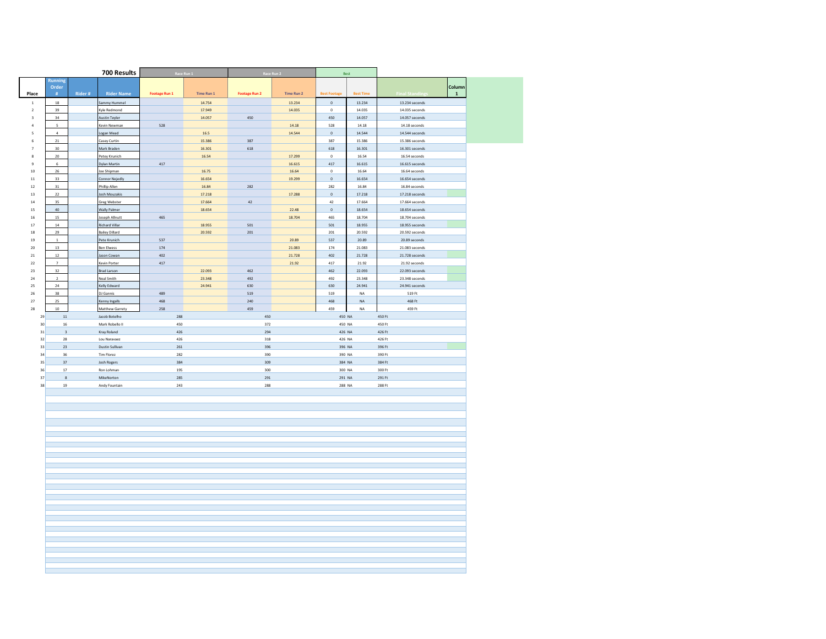|                              |                         |        | 700 Results                      |                      | Race Run 1 |                      | Race Run 2        |                     | <b>Best</b>      |                                       |
|------------------------------|-------------------------|--------|----------------------------------|----------------------|------------|----------------------|-------------------|---------------------|------------------|---------------------------------------|
|                              | Running                 |        |                                  |                      |            |                      |                   |                     |                  |                                       |
| Place                        | Order<br>#              | Rider# | <b>Rider Name</b>                | <b>Footage Run 1</b> | Time Run 1 | <b>Footage Run 2</b> | <b>Time Run 2</b> | <b>Best Footage</b> | <b>Best Time</b> | Column<br>Final Stand<br>$\mathbf{1}$ |
| $\,$ 1 $\,$                  | 18                      |        | Sammy Hummel                     |                      | 14.754     |                      | 13.234            | $\mathbb O$         | 13.234           | 13.234 seconds                        |
| $\sqrt{2}$                   | 39                      |        | Kyle Redmond                     |                      | 17.949     |                      | 14.035            | $\circ$             | 14.035           | 14.035 seconds                        |
| $\mathsf 3$                  | 34                      |        | <b>Austin Teyler</b>             |                      | 14.057     | 450                  |                   | 450                 | 14.057           | $14.057$ seconds                      |
| $\sqrt{4}$                   |                         |        | Kevin Newman                     | 528                  |            |                      | 14.18             | 528                 | 14.18            | 14.18 seconds                         |
| $\overline{\mathbf{5}}$      | $\mathfrak{a}$          |        | Logan Mead                       |                      | 16.5       |                      | 14.544            | $\mathbf 0$         | 14.544           | 14,544 seconds                        |
| $\mathsf{6}$                 | $\bf{21}$               |        | Casey Curtin                     |                      | 15.386     | 387                  |                   | 387                 | 15.386           | 15.386 seconds                        |
| $\overline{z}$               | 30 <sup>2</sup>         |        | Mark Braden                      |                      | 16.301     | 618                  |                   | 618                 | 16.301           | 16.301 seconds                        |
| $\bf 8$                      | $20\,$                  |        | Petey Krunich                    | 417                  | 16.54      |                      | 17.299            | $\mathbf 0$<br>417  | 16.54            | 16.54 seconds                         |
| $\overline{9}$<br>${\bf 10}$ | $\,$ 6<br>$26\,$        |        | Dylan Martin<br>Joe Shipman      |                      | 16.75      |                      | 16.615<br>16.64   | $\mathbf 0$         | 16.615<br>16.64  | 16.615 seconds<br>16.64 seconds       |
| $11\,$                       | 33                      |        | Connor Nejedly                   |                      | 16,654     |                      | 19.299            | $\circ$             | 16,654           | 16.654 seconds                        |
| $12\,$                       | 31                      |        | hillip Allen                     |                      | 16.84      | 282                  |                   | 282                 | 16.84            | 16.84 seconds                         |
| $13\,$                       | 22                      |        | Josh Mouzakis                    |                      | 17.218     |                      | 17.288            | $\circ$             | 17.218           | 17.218 seconds                        |
| $\bf{14}$                    | 35                      |        | <b>Greg Webster</b>              |                      | 17.664     | $42\,$               |                   | $42\,$              | 17.664           | 17.664 seconds                        |
| 15                           | 40                      |        | <b>Wally Palmer</b>              |                      | 18.654     |                      | 22.48             | $\circ$             | 18,654           | 18.654 seconds                        |
| ${\bf 16}$                   | 15                      |        | Joseph Allnutt                   | 465                  |            |                      | 18.704            | 465                 | 18.704           | 18.704 seconds                        |
| $17\,$                       | 14                      |        | <b>Richard Villar</b>            |                      | 18.955     | 501                  |                   | 501                 | 18.955           | 18.955 seconds                        |
| $^{\rm 18}$                  | 29                      |        | <b>Bailey Dillard</b>            |                      | 20.592     | 201                  |                   | 201                 | 20.592           | 20.592 seconds                        |
| 19<br>${\bf 20}$             | $\mathbf{1}$<br>$13\,$  |        | Pete Krunich<br>Ben Elwess       | 537<br>174           |            |                      | 20.89<br>21.083   | 537<br>174          | 20.89<br>21.083  | 20.89 seconds<br>$21.083$ seconds     |
| $21\,$                       | 12                      |        | Jason Cowan                      | 402                  |            |                      | 21.728            | 402                 | 21,728           | 21.728 seconds                        |
| $22\,$                       | $\,$ 7                  |        | Kevin Porter                     | $417\,$              |            |                      | 21.92             | 417                 | 21.92            | 21.92 seconds                         |
| $23\,$                       | 32                      |        | <b>Brad Larson</b>               |                      | 22.093     | 462                  |                   | 462                 | 22.093           | 22.093 seconds                        |
| $\bf{24}$                    | $\sqrt{2}$              |        | Neal Smith                       |                      | 23.348     | 492                  |                   | 492                 | 23.348           | 23.348 seconds                        |
| 25                           | 24                      |        | Kelly Edward                     |                      | 24.941     | 630                  |                   | 630                 | 24.941           | 24.941 seconds                        |
| $26\,$                       | 38                      |        | DJ Gannis                        | 489                  |            | 519                  |                   | 519                 | NA               | 519 Ft                                |
| $27\,$                       | 25                      |        | Kenny Ingalls                    | 468                  |            | 240                  |                   | 468                 | <b>NA</b>        | 468 Ft                                |
| ${\bf 28}$                   | 10                      |        | Matthew Garrety                  | 258                  |            | 459                  |                   | 459                 | NA               | 459 Ft                                |
| $29\,$<br>30                 | $11\,$<br>16            |        | Jacob Botelho<br>Mark Robello II | 288<br>450           |            | 450<br>372           |                   | 450 NA<br>450 NA    |                  | 450 Ft<br>450 Ft                      |
| 31                           | $\overline{\mathbf{3}}$ |        | Kray Roland                      | 426                  |            | 294                  |                   | 426 NA              |                  | 426 Ft                                |
| $_{\rm 32}$                  | 28                      |        | Lou Naravaez                     | 426                  |            | $318\,$              |                   | 426 NA              |                  | 426 Ft                                |
| 33                           | 23                      |        | Dustin Sullivan                  | 261                  |            | 396                  |                   | 396 NA              |                  | 396 Ft                                |
| $_{\rm 34}$                  | 36                      |        | <b>Tim Florez</b>                | 282                  |            | 390                  |                   |                     | 390 NA           | 390 Ft                                |
| 35                           | 37                      |        | Josh Rogers                      | 384                  |            | 309                  |                   | 384 NA              |                  | 384 Ft                                |
| $36\,$                       | $17\,$                  |        | Ron Lohman                       | 195                  |            | 300                  |                   | 300 NA              |                  | 300 Ft                                |
| 37                           | 8                       |        | MikeNorton                       | 285                  |            | 291                  |                   | 291 NA              |                  | 291 Ft                                |
| 38                           | 19                      |        | Andy Fountain                    | 243                  |            | 288                  |                   | 288 NA              |                  | 288 Ft                                |
|                              |                         |        |                                  |                      |            |                      |                   |                     |                  |                                       |
|                              |                         |        |                                  |                      |            |                      |                   |                     |                  |                                       |
|                              |                         |        |                                  |                      |            |                      |                   |                     |                  |                                       |
|                              |                         |        |                                  |                      |            |                      |                   |                     |                  |                                       |
|                              |                         |        |                                  |                      |            |                      |                   |                     |                  |                                       |
|                              |                         |        |                                  |                      |            |                      |                   |                     |                  |                                       |
|                              |                         |        |                                  |                      |            |                      |                   |                     |                  |                                       |
|                              |                         |        |                                  |                      |            |                      |                   |                     |                  |                                       |
|                              |                         |        |                                  |                      |            |                      |                   |                     |                  |                                       |
|                              |                         |        |                                  |                      |            |                      |                   |                     |                  |                                       |
|                              |                         |        |                                  |                      |            |                      |                   |                     |                  |                                       |
|                              |                         |        |                                  |                      |            |                      |                   |                     |                  |                                       |
|                              |                         |        |                                  |                      |            |                      |                   |                     |                  |                                       |
|                              |                         |        |                                  |                      |            |                      |                   |                     |                  |                                       |
|                              |                         |        |                                  |                      |            |                      |                   |                     |                  |                                       |
|                              |                         |        |                                  |                      |            |                      |                   |                     |                  |                                       |
|                              |                         |        |                                  |                      |            |                      |                   |                     |                  |                                       |
|                              |                         |        |                                  |                      |            |                      |                   |                     |                  |                                       |
|                              |                         |        |                                  |                      |            |                      |                   |                     |                  |                                       |
|                              |                         |        |                                  |                      |            |                      |                   |                     |                  |                                       |
|                              |                         |        |                                  |                      |            |                      |                   |                     |                  |                                       |
|                              |                         |        |                                  |                      |            |                      |                   |                     |                  |                                       |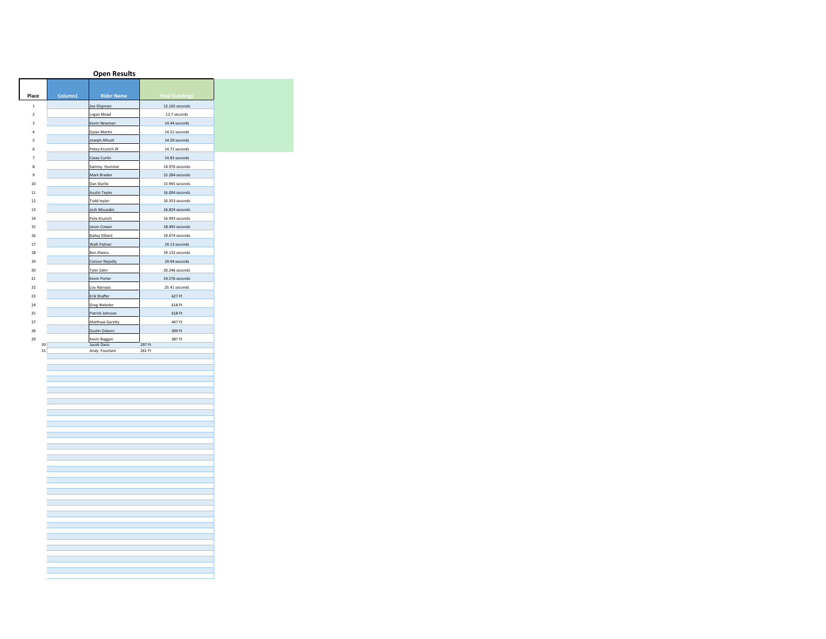|                |         | <b>Open Results</b>          |                                |
|----------------|---------|------------------------------|--------------------------------|
|                |         |                              |                                |
| Place          | Column1 | <b>Rider Name</b>            | <b>Final Standings</b>         |
| $\mathbf{1}$   |         |                              |                                |
|                |         | Joe Shipman                  | 12.165 seconds                 |
| $\mathbf 2$    |         | Logan Mead                   | 12.7 seconds                   |
| 3              |         | Kevin Newman                 | 14.44 seconds                  |
| 4              |         | Dylan Martin                 | 14.52 seconds<br>14.59 seconds |
| 5<br>6         |         | Joseph Allnutt               | 14.71 seconds                  |
| $\overline{7}$ |         | Petey Krunich JR             | 14.83 seconds                  |
| 8              |         | Casey Curtin<br>Sammy Hummel | 14.976 seconds                 |
| 9              |         | Mark Braden                  | 15,284 seconds                 |
| 10             |         | Dan Starlie                  | 15.945 seconds                 |
| 11             |         | <b>Austin Teyler</b>         | 16.004 seconds                 |
| 12             |         | Todd teyler                  | 16.353 seconds                 |
| 13             |         | Josh Mouzakis                | 16.824 seconds                 |
| 14             |         | Pete Krunich                 | 16.993 seconds                 |
| 15             |         | Jason Cowan                  | 18.495 seconds                 |
| 16             |         | <b>Bailey Dillard</b>        | 19.074 seconds                 |
| 17             |         | Walli Palmer                 | 19.13 seconds                  |
| 18             |         | <b>Ben Elwess</b>            | 19.132 seconds                 |
| 19             |         | <b>Connor Nejedly</b>        | 19.94 seconds                  |
| 20             |         | Tyler Zahn                   | 20.246 seconds                 |
| 21             |         | Kevin Porter                 | 24.576 seconds                 |
| 22             |         | Lou Narvaez                  | 25.41 seconds                  |
| 23             |         | Erik Shaffer                 | 627 Ft                         |
| 24             |         | <b>Greg Webster</b>          | 618 Ft                         |
| 25             |         | Patrick Johnson              | 618 Ft                         |
| 27             |         | Matthew Garetty              | 447 Ft                         |
| 28             |         | Dustin Osborn                | 399 Ft                         |
| 29             |         | Kevin Boggan                 | 387 Ft                         |
| 30<br>31       |         | Jacob Davis<br>Andy Fountain | 297 Ft<br>261 Ft               |
|                |         |                              |                                |
|                |         |                              |                                |
|                |         |                              |                                |
|                |         |                              |                                |
|                |         |                              |                                |
|                |         |                              |                                |
|                |         |                              |                                |
|                |         |                              |                                |
|                |         |                              |                                |
|                |         |                              |                                |
|                |         |                              |                                |
|                |         |                              |                                |
|                |         |                              |                                |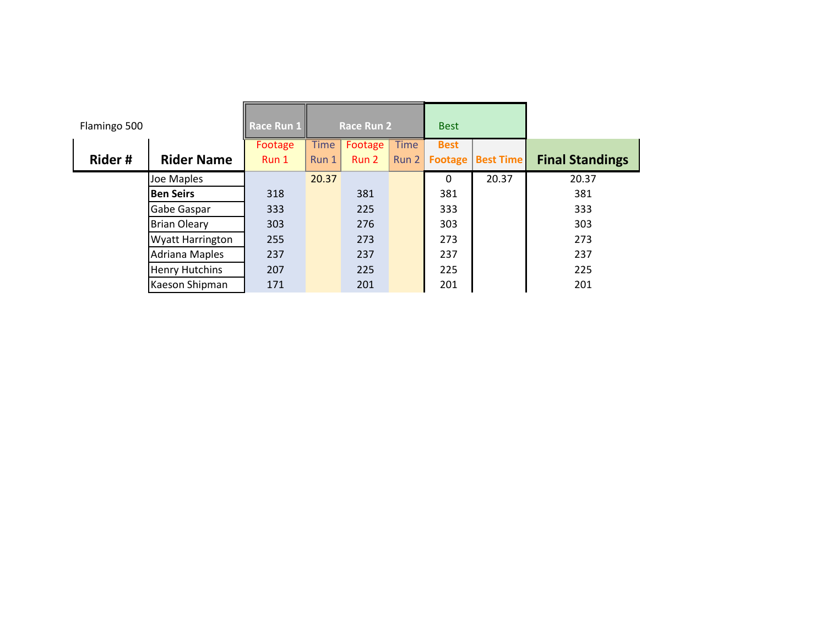| Flamingo 500 |                         | Race Run 1 |             | <b>Race Run 2</b> |             | <b>Best</b> |                  |                        |
|--------------|-------------------------|------------|-------------|-------------------|-------------|-------------|------------------|------------------------|
|              |                         | Footage    | <b>Time</b> | Footage           | <b>Time</b> | <b>Best</b> |                  |                        |
| Rider#       | <b>Rider Name</b>       | Run 1      | Run 1       | Run 2             | Run 2       | Footage     | <b>Best Time</b> | <b>Final Standings</b> |
|              | Joe Maples              |            | 20.37       |                   |             | 0           | 20.37            | 20.37                  |
|              | <b>Ben Seirs</b>        | 318        |             | 381               |             | 381         |                  | 381                    |
|              | Gabe Gaspar             | 333        |             | 225               |             | 333         |                  | 333                    |
|              | <b>Brian Oleary</b>     | 303        |             | 276               |             | 303         |                  | 303                    |
|              | <b>Wyatt Harrington</b> | 255        |             | 273               |             | 273         |                  | 273                    |
|              | <b>Adriana Maples</b>   | 237        |             | 237               |             | 237         |                  | 237                    |
|              | <b>Henry Hutchins</b>   | 207        |             | 225               |             | 225         |                  | 225                    |
|              | Kaeson Shipman          | 171        |             | 201               |             | 201         |                  | 201                    |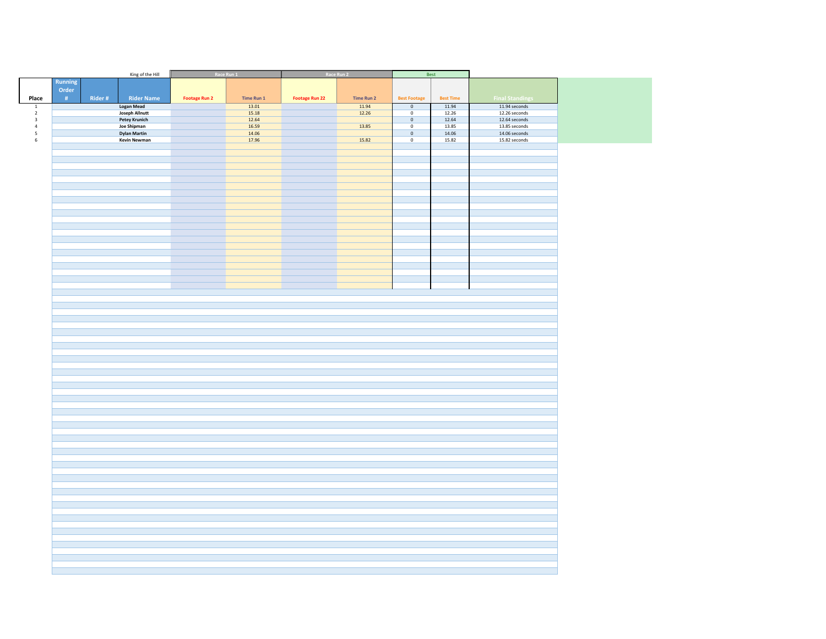|                         |         |        | King of the Hill      |                      | Race Run 1 |                       | Race Run 2 |                     | Best             |                        |  |
|-------------------------|---------|--------|-----------------------|----------------------|------------|-----------------------|------------|---------------------|------------------|------------------------|--|
|                         | Running |        |                       |                      |            |                       |            |                     |                  |                        |  |
|                         | Order   |        |                       |                      |            |                       |            |                     |                  |                        |  |
| Place                   | #       | Rider# | <b>Rider Name</b>     | <b>Footage Run 2</b> | Time Run 1 | <b>Footage Run 22</b> | Time Run 2 | <b>Best Footage</b> | <b>Best Time</b> | <b>Final Standings</b> |  |
| $\overline{\mathbf{1}}$ |         |        | <b>Logan Mead</b>     |                      | 13.01      |                       | 11.94      | $\mathbb O$         | 11.94            | 11.94 seconds          |  |
| $\mathbf{2}$            |         |        | <b>Joseph Allnutt</b> |                      | 15.18      |                       | 12.26      | $\mathbf 0$         | 12.26            | 12.26 seconds          |  |
| $\mathsf 3$             |         |        | <b>Petey Krunich</b>  |                      | 12.64      |                       |            | $\mathbf 0$         | 12.64            | $12.64$ seconds        |  |
| $\sqrt{4}$              |         |        | <b>Joe Shipman</b>    |                      | 16.59      |                       | 13.85      | $\mathbf 0$         | 13.85            | 13.85 seconds          |  |
| ${\mathsf 5}$           |         |        | <b>Dylan Martin</b>   |                      | 14.06      |                       |            | $\mathbf 0$         | 14.06            | $14.06$ seconds        |  |
| $\,$ 6 $\,$             |         |        | <b>Kevin Newman</b>   |                      | 17.96      |                       | 15.82      | $\overline{0}$      | 15.82            | 15.82 seconds          |  |
|                         |         |        |                       |                      |            |                       |            |                     |                  |                        |  |
|                         |         |        |                       |                      |            |                       |            |                     |                  |                        |  |
|                         |         |        |                       |                      |            |                       |            |                     |                  |                        |  |
|                         |         |        |                       |                      |            |                       |            |                     |                  |                        |  |
|                         |         |        |                       |                      |            |                       |            |                     |                  |                        |  |
|                         |         |        |                       |                      |            |                       |            |                     |                  |                        |  |
|                         |         |        |                       |                      |            |                       |            |                     |                  |                        |  |
|                         |         |        |                       |                      |            |                       |            |                     |                  |                        |  |
|                         |         |        |                       |                      |            |                       |            |                     |                  |                        |  |
|                         |         |        |                       |                      |            |                       |            |                     |                  |                        |  |
|                         |         |        |                       |                      |            |                       |            |                     |                  |                        |  |
|                         |         |        |                       |                      |            |                       |            |                     |                  |                        |  |
|                         |         |        |                       |                      |            |                       |            |                     |                  |                        |  |
|                         |         |        |                       |                      |            |                       |            |                     |                  |                        |  |
|                         |         |        |                       |                      |            |                       |            |                     |                  |                        |  |
|                         |         |        |                       |                      |            |                       |            |                     |                  |                        |  |
|                         |         |        |                       |                      |            |                       |            |                     |                  |                        |  |
|                         |         |        |                       |                      |            |                       |            |                     |                  |                        |  |
|                         |         |        |                       |                      |            |                       |            |                     |                  |                        |  |
|                         |         |        |                       |                      |            |                       |            |                     |                  |                        |  |
|                         |         |        |                       |                      |            |                       |            |                     |                  |                        |  |
|                         |         |        |                       |                      |            |                       |            |                     |                  |                        |  |
|                         |         |        |                       |                      |            |                       |            |                     |                  |                        |  |
|                         |         |        |                       |                      |            |                       |            |                     |                  |                        |  |
|                         |         |        |                       |                      |            |                       |            |                     |                  |                        |  |
|                         |         |        |                       |                      |            |                       |            |                     |                  |                        |  |
|                         |         |        |                       |                      |            |                       |            |                     |                  |                        |  |
|                         |         |        |                       |                      |            |                       |            |                     |                  |                        |  |
|                         |         |        |                       |                      |            |                       |            |                     |                  |                        |  |
|                         |         |        |                       |                      |            |                       |            |                     |                  |                        |  |
|                         |         |        |                       |                      |            |                       |            |                     |                  |                        |  |
|                         |         |        |                       |                      |            |                       |            |                     |                  |                        |  |
|                         |         |        |                       |                      |            |                       |            |                     |                  |                        |  |
|                         |         |        |                       |                      |            |                       |            |                     |                  |                        |  |
|                         |         |        |                       |                      |            |                       |            |                     |                  |                        |  |
|                         |         |        |                       |                      |            |                       |            |                     |                  |                        |  |
|                         |         |        |                       |                      |            |                       |            |                     |                  |                        |  |
|                         |         |        |                       |                      |            |                       |            |                     |                  |                        |  |
|                         |         |        |                       |                      |            |                       |            |                     |                  |                        |  |
|                         |         |        |                       |                      |            |                       |            |                     |                  |                        |  |
|                         |         |        |                       |                      |            |                       |            |                     |                  |                        |  |
|                         |         |        |                       |                      |            |                       |            |                     |                  |                        |  |
|                         |         |        |                       |                      |            |                       |            |                     |                  |                        |  |
|                         |         |        |                       |                      |            |                       |            |                     |                  |                        |  |
|                         |         |        |                       |                      |            |                       |            |                     |                  |                        |  |
|                         |         |        |                       |                      |            |                       |            |                     |                  |                        |  |
|                         |         |        |                       |                      |            |                       |            |                     |                  |                        |  |
|                         |         |        |                       |                      |            |                       |            |                     |                  |                        |  |
|                         |         |        |                       |                      |            |                       |            |                     |                  |                        |  |
|                         |         |        |                       |                      |            |                       |            |                     |                  |                        |  |
|                         |         |        |                       |                      |            |                       |            |                     |                  |                        |  |
|                         |         |        |                       |                      |            |                       |            |                     |                  |                        |  |
|                         |         |        |                       |                      |            |                       |            |                     |                  |                        |  |
|                         |         |        |                       |                      |            |                       |            |                     |                  |                        |  |
|                         |         |        |                       |                      |            |                       |            |                     |                  |                        |  |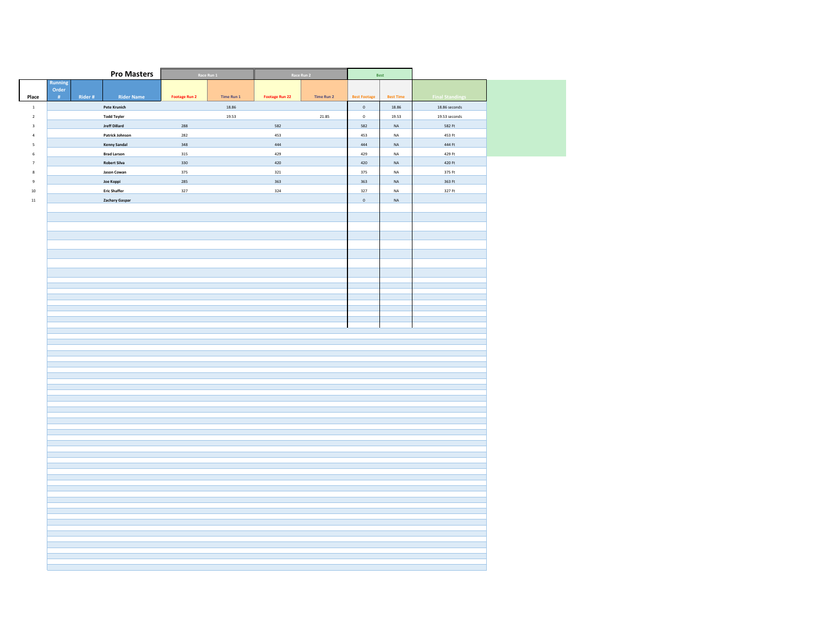| Running<br>Order<br>Rider #<br><b>Rider Name</b><br>Place<br>$\langle \!\!\!\!\!\!+\rangle\!\!\!\!\!\!+\rangle$<br><b>Footage Run 2</b><br>Time Run 1<br>Footage Run 22<br>Time Run 2<br><b>Best Footage</b><br><b>Best Time</b><br><b>Final Standings</b><br>Pete Krunich<br>18.86<br>18.86<br>18.86 seconds<br>$\,$ $\,$<br>$\mathbb O$<br>19.53<br>21.85<br>$\overline{2}$<br><b>Todd Teyler</b><br>$\mathbf 0$<br>19.53<br>19.53 seconds<br><b>Jreff Dillard</b><br>288<br>582<br>582<br>$_{\sf NA}$<br>582 Ft<br>$\,$ 3<br>$\sqrt{4}$<br>Patrick Johnson<br>282<br>453<br>453<br>$_{\sf NA}$<br>453 Ft<br>444<br>$\mathsf S$<br><b>Kenny Sandal</b><br>348<br>444<br>$_{\sf NA}$<br>444 Ft<br>429<br>429 Ft<br>$\,$ 6<br><b>Brad Larson</b><br>315<br>429<br>$\sf NA$<br><b>Robert Silva</b><br>330<br>420<br>420<br>$\sf NA$<br>420 Ft<br>$7\overline{ }$<br>321<br>Jason Cowan<br>375<br>375<br>$_{\sf NA}$<br>375 Ft<br>$\bf 8$<br>285<br>363<br>$\,9$<br>Joe Koppi<br>363<br>$\sf NA$<br>363 Ft<br>327<br>324<br>327 Ft<br><b>Eric Shaffer</b><br>$327\,$<br>$10\,$<br>$\sf NA$<br>$11\,$<br>Zachary Gaspar<br>$\,$ 0 $\,$<br>$\sf NA$ |  | <b>Pro Masters</b> | Race Run 1 | Race Run 2 | Best |  |
|-------------------------------------------------------------------------------------------------------------------------------------------------------------------------------------------------------------------------------------------------------------------------------------------------------------------------------------------------------------------------------------------------------------------------------------------------------------------------------------------------------------------------------------------------------------------------------------------------------------------------------------------------------------------------------------------------------------------------------------------------------------------------------------------------------------------------------------------------------------------------------------------------------------------------------------------------------------------------------------------------------------------------------------------------------------------------------------------------------------------------------------------------|--|--------------------|------------|------------|------|--|
|                                                                                                                                                                                                                                                                                                                                                                                                                                                                                                                                                                                                                                                                                                                                                                                                                                                                                                                                                                                                                                                                                                                                                 |  |                    |            |            |      |  |
|                                                                                                                                                                                                                                                                                                                                                                                                                                                                                                                                                                                                                                                                                                                                                                                                                                                                                                                                                                                                                                                                                                                                                 |  |                    |            |            |      |  |
|                                                                                                                                                                                                                                                                                                                                                                                                                                                                                                                                                                                                                                                                                                                                                                                                                                                                                                                                                                                                                                                                                                                                                 |  |                    |            |            |      |  |
|                                                                                                                                                                                                                                                                                                                                                                                                                                                                                                                                                                                                                                                                                                                                                                                                                                                                                                                                                                                                                                                                                                                                                 |  |                    |            |            |      |  |
|                                                                                                                                                                                                                                                                                                                                                                                                                                                                                                                                                                                                                                                                                                                                                                                                                                                                                                                                                                                                                                                                                                                                                 |  |                    |            |            |      |  |
|                                                                                                                                                                                                                                                                                                                                                                                                                                                                                                                                                                                                                                                                                                                                                                                                                                                                                                                                                                                                                                                                                                                                                 |  |                    |            |            |      |  |
|                                                                                                                                                                                                                                                                                                                                                                                                                                                                                                                                                                                                                                                                                                                                                                                                                                                                                                                                                                                                                                                                                                                                                 |  |                    |            |            |      |  |
|                                                                                                                                                                                                                                                                                                                                                                                                                                                                                                                                                                                                                                                                                                                                                                                                                                                                                                                                                                                                                                                                                                                                                 |  |                    |            |            |      |  |
|                                                                                                                                                                                                                                                                                                                                                                                                                                                                                                                                                                                                                                                                                                                                                                                                                                                                                                                                                                                                                                                                                                                                                 |  |                    |            |            |      |  |
|                                                                                                                                                                                                                                                                                                                                                                                                                                                                                                                                                                                                                                                                                                                                                                                                                                                                                                                                                                                                                                                                                                                                                 |  |                    |            |            |      |  |
|                                                                                                                                                                                                                                                                                                                                                                                                                                                                                                                                                                                                                                                                                                                                                                                                                                                                                                                                                                                                                                                                                                                                                 |  |                    |            |            |      |  |
|                                                                                                                                                                                                                                                                                                                                                                                                                                                                                                                                                                                                                                                                                                                                                                                                                                                                                                                                                                                                                                                                                                                                                 |  |                    |            |            |      |  |
|                                                                                                                                                                                                                                                                                                                                                                                                                                                                                                                                                                                                                                                                                                                                                                                                                                                                                                                                                                                                                                                                                                                                                 |  |                    |            |            |      |  |
|                                                                                                                                                                                                                                                                                                                                                                                                                                                                                                                                                                                                                                                                                                                                                                                                                                                                                                                                                                                                                                                                                                                                                 |  |                    |            |            |      |  |
|                                                                                                                                                                                                                                                                                                                                                                                                                                                                                                                                                                                                                                                                                                                                                                                                                                                                                                                                                                                                                                                                                                                                                 |  |                    |            |            |      |  |
|                                                                                                                                                                                                                                                                                                                                                                                                                                                                                                                                                                                                                                                                                                                                                                                                                                                                                                                                                                                                                                                                                                                                                 |  |                    |            |            |      |  |
|                                                                                                                                                                                                                                                                                                                                                                                                                                                                                                                                                                                                                                                                                                                                                                                                                                                                                                                                                                                                                                                                                                                                                 |  |                    |            |            |      |  |
|                                                                                                                                                                                                                                                                                                                                                                                                                                                                                                                                                                                                                                                                                                                                                                                                                                                                                                                                                                                                                                                                                                                                                 |  |                    |            |            |      |  |
|                                                                                                                                                                                                                                                                                                                                                                                                                                                                                                                                                                                                                                                                                                                                                                                                                                                                                                                                                                                                                                                                                                                                                 |  |                    |            |            |      |  |
|                                                                                                                                                                                                                                                                                                                                                                                                                                                                                                                                                                                                                                                                                                                                                                                                                                                                                                                                                                                                                                                                                                                                                 |  |                    |            |            |      |  |
|                                                                                                                                                                                                                                                                                                                                                                                                                                                                                                                                                                                                                                                                                                                                                                                                                                                                                                                                                                                                                                                                                                                                                 |  |                    |            |            |      |  |
|                                                                                                                                                                                                                                                                                                                                                                                                                                                                                                                                                                                                                                                                                                                                                                                                                                                                                                                                                                                                                                                                                                                                                 |  |                    |            |            |      |  |
|                                                                                                                                                                                                                                                                                                                                                                                                                                                                                                                                                                                                                                                                                                                                                                                                                                                                                                                                                                                                                                                                                                                                                 |  |                    |            |            |      |  |
|                                                                                                                                                                                                                                                                                                                                                                                                                                                                                                                                                                                                                                                                                                                                                                                                                                                                                                                                                                                                                                                                                                                                                 |  |                    |            |            |      |  |
|                                                                                                                                                                                                                                                                                                                                                                                                                                                                                                                                                                                                                                                                                                                                                                                                                                                                                                                                                                                                                                                                                                                                                 |  |                    |            |            |      |  |
|                                                                                                                                                                                                                                                                                                                                                                                                                                                                                                                                                                                                                                                                                                                                                                                                                                                                                                                                                                                                                                                                                                                                                 |  |                    |            |            |      |  |
|                                                                                                                                                                                                                                                                                                                                                                                                                                                                                                                                                                                                                                                                                                                                                                                                                                                                                                                                                                                                                                                                                                                                                 |  |                    |            |            |      |  |
|                                                                                                                                                                                                                                                                                                                                                                                                                                                                                                                                                                                                                                                                                                                                                                                                                                                                                                                                                                                                                                                                                                                                                 |  |                    |            |            |      |  |
|                                                                                                                                                                                                                                                                                                                                                                                                                                                                                                                                                                                                                                                                                                                                                                                                                                                                                                                                                                                                                                                                                                                                                 |  |                    |            |            |      |  |
|                                                                                                                                                                                                                                                                                                                                                                                                                                                                                                                                                                                                                                                                                                                                                                                                                                                                                                                                                                                                                                                                                                                                                 |  |                    |            |            |      |  |
|                                                                                                                                                                                                                                                                                                                                                                                                                                                                                                                                                                                                                                                                                                                                                                                                                                                                                                                                                                                                                                                                                                                                                 |  |                    |            |            |      |  |
|                                                                                                                                                                                                                                                                                                                                                                                                                                                                                                                                                                                                                                                                                                                                                                                                                                                                                                                                                                                                                                                                                                                                                 |  |                    |            |            |      |  |
|                                                                                                                                                                                                                                                                                                                                                                                                                                                                                                                                                                                                                                                                                                                                                                                                                                                                                                                                                                                                                                                                                                                                                 |  |                    |            |            |      |  |
|                                                                                                                                                                                                                                                                                                                                                                                                                                                                                                                                                                                                                                                                                                                                                                                                                                                                                                                                                                                                                                                                                                                                                 |  |                    |            |            |      |  |
|                                                                                                                                                                                                                                                                                                                                                                                                                                                                                                                                                                                                                                                                                                                                                                                                                                                                                                                                                                                                                                                                                                                                                 |  |                    |            |            |      |  |
|                                                                                                                                                                                                                                                                                                                                                                                                                                                                                                                                                                                                                                                                                                                                                                                                                                                                                                                                                                                                                                                                                                                                                 |  |                    |            |            |      |  |
|                                                                                                                                                                                                                                                                                                                                                                                                                                                                                                                                                                                                                                                                                                                                                                                                                                                                                                                                                                                                                                                                                                                                                 |  |                    |            |            |      |  |
|                                                                                                                                                                                                                                                                                                                                                                                                                                                                                                                                                                                                                                                                                                                                                                                                                                                                                                                                                                                                                                                                                                                                                 |  |                    |            |            |      |  |
|                                                                                                                                                                                                                                                                                                                                                                                                                                                                                                                                                                                                                                                                                                                                                                                                                                                                                                                                                                                                                                                                                                                                                 |  |                    |            |            |      |  |
|                                                                                                                                                                                                                                                                                                                                                                                                                                                                                                                                                                                                                                                                                                                                                                                                                                                                                                                                                                                                                                                                                                                                                 |  |                    |            |            |      |  |
|                                                                                                                                                                                                                                                                                                                                                                                                                                                                                                                                                                                                                                                                                                                                                                                                                                                                                                                                                                                                                                                                                                                                                 |  |                    |            |            |      |  |
|                                                                                                                                                                                                                                                                                                                                                                                                                                                                                                                                                                                                                                                                                                                                                                                                                                                                                                                                                                                                                                                                                                                                                 |  |                    |            |            |      |  |
|                                                                                                                                                                                                                                                                                                                                                                                                                                                                                                                                                                                                                                                                                                                                                                                                                                                                                                                                                                                                                                                                                                                                                 |  |                    |            |            |      |  |
|                                                                                                                                                                                                                                                                                                                                                                                                                                                                                                                                                                                                                                                                                                                                                                                                                                                                                                                                                                                                                                                                                                                                                 |  |                    |            |            |      |  |
|                                                                                                                                                                                                                                                                                                                                                                                                                                                                                                                                                                                                                                                                                                                                                                                                                                                                                                                                                                                                                                                                                                                                                 |  |                    |            |            |      |  |
|                                                                                                                                                                                                                                                                                                                                                                                                                                                                                                                                                                                                                                                                                                                                                                                                                                                                                                                                                                                                                                                                                                                                                 |  |                    |            |            |      |  |
|                                                                                                                                                                                                                                                                                                                                                                                                                                                                                                                                                                                                                                                                                                                                                                                                                                                                                                                                                                                                                                                                                                                                                 |  |                    |            |            |      |  |
|                                                                                                                                                                                                                                                                                                                                                                                                                                                                                                                                                                                                                                                                                                                                                                                                                                                                                                                                                                                                                                                                                                                                                 |  |                    |            |            |      |  |
|                                                                                                                                                                                                                                                                                                                                                                                                                                                                                                                                                                                                                                                                                                                                                                                                                                                                                                                                                                                                                                                                                                                                                 |  |                    |            |            |      |  |
|                                                                                                                                                                                                                                                                                                                                                                                                                                                                                                                                                                                                                                                                                                                                                                                                                                                                                                                                                                                                                                                                                                                                                 |  |                    |            |            |      |  |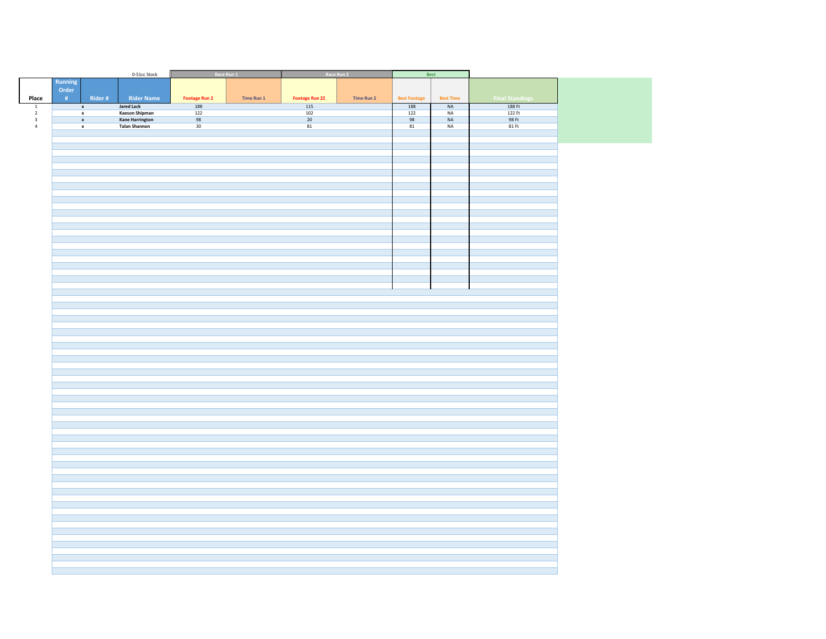|                           |                         |                    | 0-51cc Stock                                   |                      | Race Run 1 | Race Run 2            |            |                     | Best                 |                        |
|---------------------------|-------------------------|--------------------|------------------------------------------------|----------------------|------------|-----------------------|------------|---------------------|----------------------|------------------------|
| Place                     | Running<br>Order<br>#   | Rider#             | <b>Rider Name</b>                              | <b>Footage Run 2</b> | Time Run 1 | <b>Footage Run 22</b> | Time Run 2 | <b>Best Footage</b> | <b>Best Time</b>     | <b>Final Standings</b> |
| $\boxed{1}$               |                         | $\pmb{\mathsf{x}}$ | <b>Jared Lack</b>                              | 188                  |            | 115                   |            | 188                 | NA                   | 188 Ft                 |
| $\overline{2}$            |                         | $\pmb{\mathsf{x}}$ | Kaeson Shipman                                 | $\overline{122}$     |            | $\frac{102}{10}$      |            | $\overline{122}$    | $\sf NA$             | 122 Ft                 |
| $\,$ 3 $\,$<br>$\sqrt{4}$ | $\overline{\mathbf{x}}$ | $\pmb{\mathsf{x}}$ | <b>Kane Harrington</b><br><b>Talan Shannon</b> | 98<br>30             |            | 20<br>81              |            | 98<br>81            | $\sf NA$<br>$\sf NA$ | 98 Ft<br>81 Ft         |
|                           |                         |                    |                                                |                      |            |                       |            |                     |                      |                        |
|                           |                         |                    |                                                |                      |            |                       |            |                     |                      |                        |
|                           |                         |                    |                                                |                      |            |                       |            |                     |                      |                        |
|                           |                         |                    |                                                |                      |            |                       |            |                     |                      |                        |
|                           |                         |                    |                                                |                      |            |                       |            |                     |                      |                        |
|                           |                         |                    |                                                |                      |            |                       |            |                     |                      |                        |
|                           |                         |                    |                                                |                      |            |                       |            |                     |                      |                        |
|                           |                         |                    |                                                |                      |            |                       |            |                     |                      |                        |
|                           |                         |                    |                                                |                      |            |                       |            |                     |                      |                        |
|                           |                         |                    |                                                |                      |            |                       |            |                     |                      |                        |
|                           |                         |                    |                                                |                      |            |                       |            |                     |                      |                        |
|                           |                         |                    |                                                |                      |            |                       |            |                     |                      |                        |
|                           |                         |                    |                                                |                      |            |                       |            |                     |                      |                        |
|                           |                         |                    |                                                |                      |            |                       |            |                     |                      |                        |
|                           |                         |                    |                                                |                      |            |                       |            |                     |                      |                        |
|                           |                         |                    |                                                |                      |            |                       |            |                     |                      |                        |
|                           |                         |                    |                                                |                      |            |                       |            |                     |                      |                        |
|                           |                         |                    |                                                |                      |            |                       |            |                     |                      |                        |
|                           |                         |                    |                                                |                      |            |                       |            |                     |                      |                        |
|                           |                         |                    |                                                |                      |            |                       |            |                     |                      |                        |
|                           |                         |                    |                                                |                      |            |                       |            |                     |                      |                        |
|                           |                         |                    |                                                |                      |            |                       |            |                     |                      |                        |
|                           |                         |                    |                                                |                      |            |                       |            |                     |                      |                        |
|                           |                         |                    |                                                |                      |            |                       |            |                     |                      |                        |
|                           |                         |                    |                                                |                      |            |                       |            |                     |                      |                        |
|                           |                         |                    |                                                |                      |            |                       |            |                     |                      |                        |
|                           |                         |                    |                                                |                      |            |                       |            |                     |                      |                        |
|                           |                         |                    |                                                |                      |            |                       |            |                     |                      |                        |
|                           |                         |                    |                                                |                      |            |                       |            |                     |                      |                        |
|                           |                         |                    |                                                |                      |            |                       |            |                     |                      |                        |
|                           |                         |                    |                                                |                      |            |                       |            |                     |                      |                        |
|                           |                         |                    |                                                |                      |            |                       |            |                     |                      |                        |
|                           |                         |                    |                                                |                      |            |                       |            |                     |                      |                        |
|                           |                         |                    |                                                |                      |            |                       |            |                     |                      |                        |
|                           |                         |                    |                                                |                      |            |                       |            |                     |                      |                        |
|                           |                         |                    |                                                |                      |            |                       |            |                     |                      |                        |
|                           |                         |                    |                                                |                      |            |                       |            |                     |                      |                        |
|                           |                         |                    |                                                |                      |            |                       |            |                     |                      |                        |
|                           |                         |                    |                                                |                      |            |                       |            |                     |                      |                        |
|                           |                         |                    |                                                |                      |            |                       |            |                     |                      |                        |
|                           |                         |                    |                                                |                      |            |                       |            |                     |                      |                        |
|                           |                         |                    |                                                |                      |            |                       |            |                     |                      |                        |
|                           |                         |                    |                                                |                      |            |                       |            |                     |                      |                        |
|                           |                         |                    |                                                |                      |            |                       |            |                     |                      |                        |
|                           |                         |                    |                                                |                      |            |                       |            |                     |                      |                        |
|                           |                         |                    |                                                |                      |            |                       |            |                     |                      |                        |
|                           |                         |                    |                                                |                      |            |                       |            |                     |                      |                        |
|                           |                         |                    |                                                |                      |            |                       |            |                     |                      |                        |
|                           |                         |                    |                                                |                      |            |                       |            |                     |                      |                        |
|                           |                         |                    |                                                |                      |            |                       |            |                     |                      |                        |
|                           |                         |                    |                                                |                      |            |                       |            |                     |                      |                        |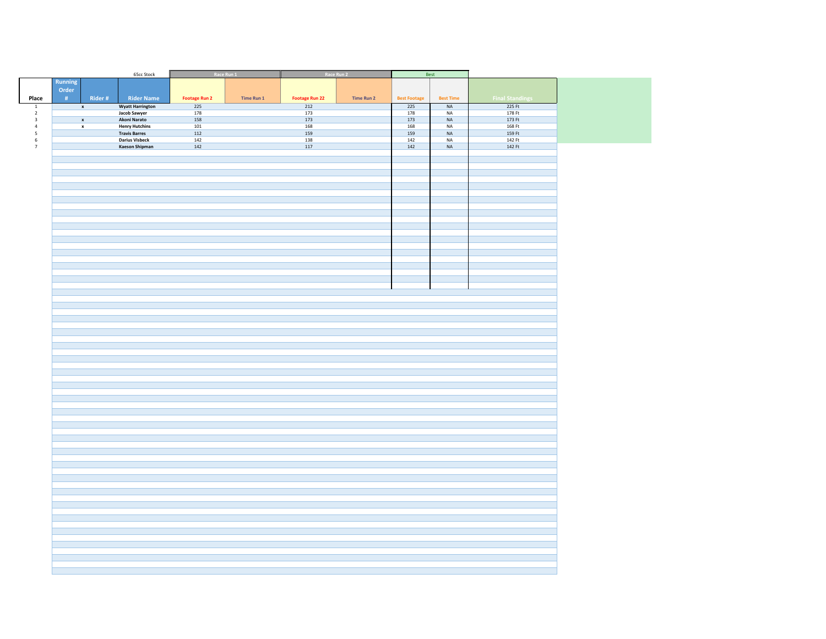|                          |                    |        | 65cc Stock                                     |                      | Race Run 1 |                       | Race Run 2 |                     | Best             |                        |
|--------------------------|--------------------|--------|------------------------------------------------|----------------------|------------|-----------------------|------------|---------------------|------------------|------------------------|
|                          | Running            |        |                                                |                      |            |                       |            |                     |                  |                        |
| Place                    | Order<br>#         | Rider# | <b>Rider Name</b>                              | <b>Footage Run 2</b> | Time Run 1 | <b>Footage Run 22</b> | Time Run 2 | <b>Best Footage</b> | <b>Best Time</b> | <b>Final Standings</b> |
| $\mathbf{1}$             | $\pmb{\mathsf{x}}$ |        | <b>Wyatt Harrington</b>                        | 225                  |            | 212                   |            | 225                 | NA               | 225 Ft                 |
| $\overline{2}$           |                    |        | Jacob Sawyer                                   | 178                  |            | 173                   |            | 178                 | $\sf NA$         | 178 Ft                 |
| $\,$ 3                   | $\pmb{\mathsf{x}}$ |        | Akoni Narato                                   | 158                  |            | 173                   |            | 173                 | $\sf NA$         | 173 Ft                 |
| $\overline{4}$           | $\pmb{\mathsf{x}}$ |        | <b>Henry Hutchins</b>                          | $101\,$              |            | 168                   |            | 168                 | $\sf NA$         | 168 Ft                 |
| $\overline{\phantom{a}}$ |                    |        | <b>Travis Barres</b>                           | 112                  |            | 159                   |            | 159                 | $\sf NA$         | 159 Ft                 |
| $\,$ 6 $\,$<br>$7\,$     |                    |        | <b>Darius Visbeck</b><br><b>Kaeson Shipman</b> | 142<br>142           |            | 138<br>117            |            | 142<br>142          | <b>NA</b><br>NA  | 142 Ft<br>142 Ft       |
|                          |                    |        |                                                |                      |            |                       |            |                     |                  |                        |
|                          |                    |        |                                                |                      |            |                       |            |                     |                  |                        |
|                          |                    |        |                                                |                      |            |                       |            |                     |                  |                        |
|                          |                    |        |                                                |                      |            |                       |            |                     |                  |                        |
|                          |                    |        |                                                |                      |            |                       |            |                     |                  |                        |
|                          |                    |        |                                                |                      |            |                       |            |                     |                  |                        |
|                          |                    |        |                                                |                      |            |                       |            |                     |                  |                        |
|                          |                    |        |                                                |                      |            |                       |            |                     |                  |                        |
|                          |                    |        |                                                |                      |            |                       |            |                     |                  |                        |
|                          |                    |        |                                                |                      |            |                       |            |                     |                  |                        |
|                          |                    |        |                                                |                      |            |                       |            |                     |                  |                        |
|                          |                    |        |                                                |                      |            |                       |            |                     |                  |                        |
|                          |                    |        |                                                |                      |            |                       |            |                     |                  |                        |
|                          |                    |        |                                                |                      |            |                       |            |                     |                  |                        |
|                          |                    |        |                                                |                      |            |                       |            |                     |                  |                        |
|                          |                    |        |                                                |                      |            |                       |            |                     |                  |                        |
|                          |                    |        |                                                |                      |            |                       |            |                     |                  |                        |
|                          |                    |        |                                                |                      |            |                       |            |                     |                  |                        |
|                          |                    |        |                                                |                      |            |                       |            |                     |                  |                        |
|                          |                    |        |                                                |                      |            |                       |            |                     |                  |                        |
|                          |                    |        |                                                |                      |            |                       |            |                     |                  |                        |
|                          |                    |        |                                                |                      |            |                       |            |                     |                  |                        |
|                          |                    |        |                                                |                      |            |                       |            |                     |                  |                        |
|                          |                    |        |                                                |                      |            |                       |            |                     |                  |                        |
|                          |                    |        |                                                |                      |            |                       |            |                     |                  |                        |
|                          |                    |        |                                                |                      |            |                       |            |                     |                  |                        |
|                          |                    |        |                                                |                      |            |                       |            |                     |                  |                        |
|                          |                    |        |                                                |                      |            |                       |            |                     |                  |                        |
|                          |                    |        |                                                |                      |            |                       |            |                     |                  |                        |
|                          |                    |        |                                                |                      |            |                       |            |                     |                  |                        |
|                          |                    |        |                                                |                      |            |                       |            |                     |                  |                        |
|                          |                    |        |                                                |                      |            |                       |            |                     |                  |                        |
|                          |                    |        |                                                |                      |            |                       |            |                     |                  |                        |
|                          |                    |        |                                                |                      |            |                       |            |                     |                  |                        |
|                          |                    |        |                                                |                      |            |                       |            |                     |                  |                        |
|                          |                    |        |                                                |                      |            |                       |            |                     |                  |                        |
|                          |                    |        |                                                |                      |            |                       |            |                     |                  |                        |
|                          |                    |        |                                                |                      |            |                       |            |                     |                  |                        |
|                          |                    |        |                                                |                      |            |                       |            |                     |                  |                        |
|                          |                    |        |                                                |                      |            |                       |            |                     |                  |                        |
|                          |                    |        |                                                |                      |            |                       |            |                     |                  |                        |
|                          |                    |        |                                                |                      |            |                       |            |                     |                  |                        |
|                          |                    |        |                                                |                      |            |                       |            |                     |                  |                        |
|                          |                    |        |                                                |                      |            |                       |            |                     |                  |                        |
|                          |                    |        |                                                |                      |            |                       |            |                     |                  |                        |
|                          |                    |        |                                                |                      |            |                       |            |                     |                  |                        |
|                          |                    |        |                                                |                      |            |                       |            |                     |                  |                        |
|                          |                    |        |                                                |                      |            |                       |            |                     |                  |                        |
|                          |                    |        |                                                |                      |            |                       |            |                     |                  |                        |
|                          |                    |        |                                                |                      |            |                       |            |                     |                  |                        |
|                          |                    |        |                                                |                      |            |                       |            |                     |                  |                        |
|                          |                    |        |                                                |                      |            |                       |            |                     |                  |                        |
|                          |                    |        |                                                |                      |            |                       |            |                     |                  |                        |
|                          |                    |        |                                                |                      |            |                       |            |                     |                  |                        |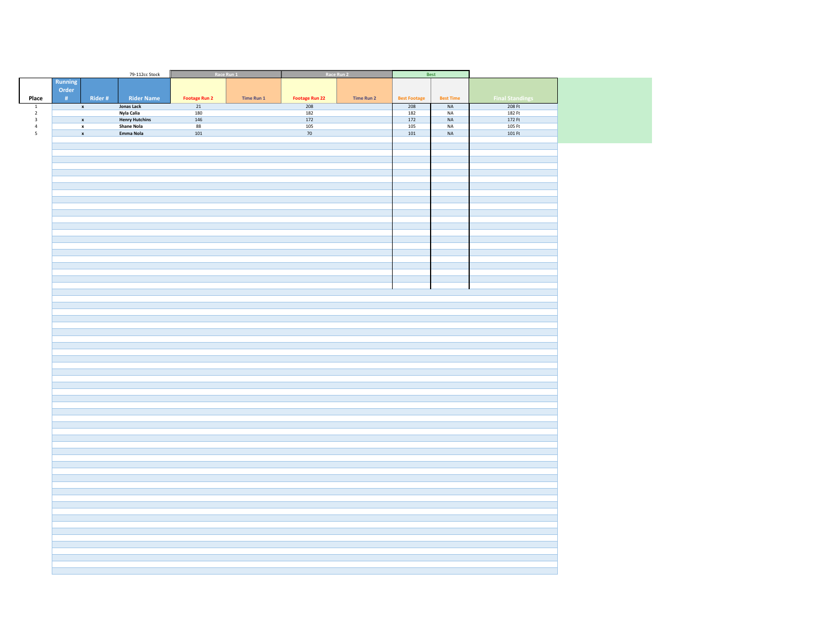|                                |         |                    | 79-112cc Stock                  |                      | Race Run 1 |                       | Race Run 2 |                     | Best             |                        |
|--------------------------------|---------|--------------------|---------------------------------|----------------------|------------|-----------------------|------------|---------------------|------------------|------------------------|
|                                | Running |                    |                                 |                      |            |                       |            |                     |                  |                        |
|                                | Order   |                    |                                 |                      |            |                       |            |                     |                  |                        |
| Place                          | #       | Rider#             | <b>Rider Name</b>               | <b>Footage Run 2</b> | Time Run 1 | <b>Footage Run 22</b> | Time Run 2 | <b>Best Footage</b> | <b>Best Time</b> | <b>Final Standings</b> |
|                                |         |                    |                                 |                      |            |                       |            |                     |                  |                        |
| $\mathbf{1}$<br>$\overline{2}$ |         | $\mathbf x$        | <b>Jonas Lack</b><br>Nyla Calia | 21<br>180            |            | 208<br>182            |            | 208<br>182          | NA<br><b>NA</b>  | 208 Ft<br>182 Ft       |
| $\overline{\mathbf{3}}$        |         | $\mathbf{x}$       | <b>Henry Hutchins</b>           | 146                  |            | 172                   |            | $\overline{172}$    | <b>NA</b>        | 172 Ft                 |
| $\overline{4}$                 |         |                    | <b>Shane Nola</b>               | 88                   |            | 105                   |            | 105                 | <b>NA</b>        | 105 Ft                 |
|                                |         | $\pmb{\mathsf{x}}$ |                                 |                      |            |                       |            |                     |                  |                        |
| $\overline{\phantom{a}}$       |         | $\pmb{\mathsf{x}}$ | Emma Nola                       | 101                  |            | 70                    |            | 101                 | $\sf NA$         | 101 Ft                 |
|                                |         |                    |                                 |                      |            |                       |            |                     |                  |                        |
|                                |         |                    |                                 |                      |            |                       |            |                     |                  |                        |
|                                |         |                    |                                 |                      |            |                       |            |                     |                  |                        |
|                                |         |                    |                                 |                      |            |                       |            |                     |                  |                        |
|                                |         |                    |                                 |                      |            |                       |            |                     |                  |                        |
|                                |         |                    |                                 |                      |            |                       |            |                     |                  |                        |
|                                |         |                    |                                 |                      |            |                       |            |                     |                  |                        |
|                                |         |                    |                                 |                      |            |                       |            |                     |                  |                        |
|                                |         |                    |                                 |                      |            |                       |            |                     |                  |                        |
|                                |         |                    |                                 |                      |            |                       |            |                     |                  |                        |
|                                |         |                    |                                 |                      |            |                       |            |                     |                  |                        |
|                                |         |                    |                                 |                      |            |                       |            |                     |                  |                        |
|                                |         |                    |                                 |                      |            |                       |            |                     |                  |                        |
|                                |         |                    |                                 |                      |            |                       |            |                     |                  |                        |
|                                |         |                    |                                 |                      |            |                       |            |                     |                  |                        |
|                                |         |                    |                                 |                      |            |                       |            |                     |                  |                        |
|                                |         |                    |                                 |                      |            |                       |            |                     |                  |                        |
|                                |         |                    |                                 |                      |            |                       |            |                     |                  |                        |
|                                |         |                    |                                 |                      |            |                       |            |                     |                  |                        |
|                                |         |                    |                                 |                      |            |                       |            |                     |                  |                        |
|                                |         |                    |                                 |                      |            |                       |            |                     |                  |                        |
|                                |         |                    |                                 |                      |            |                       |            |                     |                  |                        |
|                                |         |                    |                                 |                      |            |                       |            |                     |                  |                        |
|                                |         |                    |                                 |                      |            |                       |            |                     |                  |                        |
|                                |         |                    |                                 |                      |            |                       |            |                     |                  |                        |
|                                |         |                    |                                 |                      |            |                       |            |                     |                  |                        |
|                                |         |                    |                                 |                      |            |                       |            |                     |                  |                        |
|                                |         |                    |                                 |                      |            |                       |            |                     |                  |                        |
|                                |         |                    |                                 |                      |            |                       |            |                     |                  |                        |
|                                |         |                    |                                 |                      |            |                       |            |                     |                  |                        |
|                                |         |                    |                                 |                      |            |                       |            |                     |                  |                        |
|                                |         |                    |                                 |                      |            |                       |            |                     |                  |                        |
|                                |         |                    |                                 |                      |            |                       |            |                     |                  |                        |
|                                |         |                    |                                 |                      |            |                       |            |                     |                  |                        |
|                                |         |                    |                                 |                      |            |                       |            |                     |                  |                        |
|                                |         |                    |                                 |                      |            |                       |            |                     |                  |                        |
|                                |         |                    |                                 |                      |            |                       |            |                     |                  |                        |
|                                |         |                    |                                 |                      |            |                       |            |                     |                  |                        |
|                                |         |                    |                                 |                      |            |                       |            |                     |                  |                        |
|                                |         |                    |                                 |                      |            |                       |            |                     |                  |                        |
|                                |         |                    |                                 |                      |            |                       |            |                     |                  |                        |
|                                |         |                    |                                 |                      |            |                       |            |                     |                  |                        |
|                                |         |                    |                                 |                      |            |                       |            |                     |                  |                        |
|                                |         |                    |                                 |                      |            |                       |            |                     |                  |                        |
|                                |         |                    |                                 |                      |            |                       |            |                     |                  |                        |
|                                |         |                    |                                 |                      |            |                       |            |                     |                  |                        |
|                                |         |                    |                                 |                      |            |                       |            |                     |                  |                        |
|                                |         |                    |                                 |                      |            |                       |            |                     |                  |                        |
|                                |         |                    |                                 |                      |            |                       |            |                     |                  |                        |
|                                |         |                    |                                 |                      |            |                       |            |                     |                  |                        |
|                                |         |                    |                                 |                      |            |                       |            |                     |                  |                        |
|                                |         |                    |                                 |                      |            |                       |            |                     |                  |                        |
|                                |         |                    |                                 |                      |            |                       |            |                     |                  |                        |
|                                |         |                    |                                 |                      |            |                       |            |                     |                  |                        |
|                                |         |                    |                                 |                      |            |                       |            |                     |                  |                        |
|                                |         |                    |                                 |                      |            |                       |            |                     |                  |                        |
|                                |         |                    |                                 |                      |            |                       |            |                     |                  |                        |
|                                |         |                    |                                 |                      |            |                       |            |                     |                  |                        |
|                                |         |                    |                                 |                      |            |                       |            |                     |                  |                        |
|                                |         |                    |                                 |                      |            |                       |            |                     |                  |                        |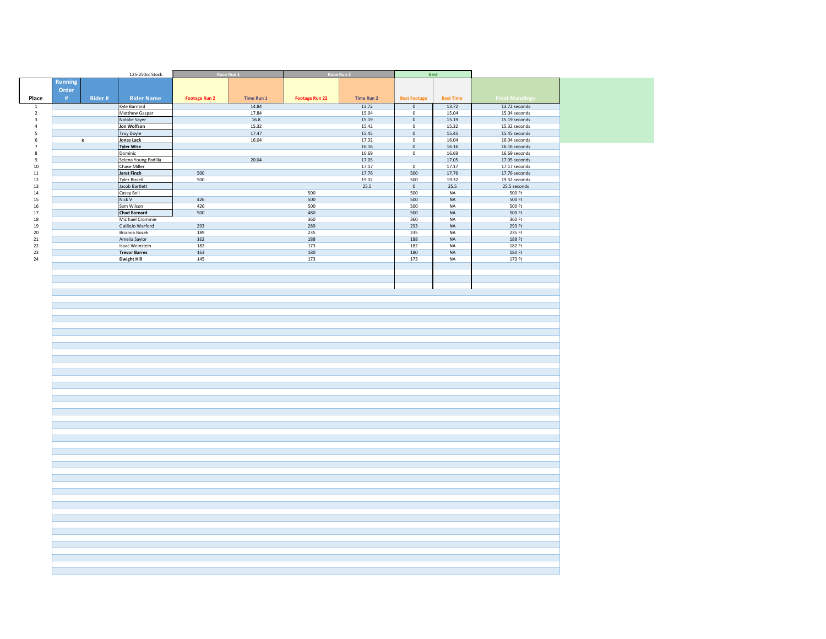|                                  |                |                    | 125-250cc Stock                            |                      | Race Run 1     |                       | Race Run 2        |                               | Best                     |                                |
|----------------------------------|----------------|--------------------|--------------------------------------------|----------------------|----------------|-----------------------|-------------------|-------------------------------|--------------------------|--------------------------------|
|                                  | <b>Running</b> |                    |                                            |                      |                |                       |                   |                               |                          |                                |
|                                  | Order          |                    |                                            |                      |                |                       |                   |                               |                          |                                |
| Place                            |                | Rider#             | <b>Rider Name</b>                          |                      |                |                       |                   |                               |                          | <b>Final Standings</b>         |
|                                  | #              |                    |                                            | <b>Footage Run 2</b> | Time Run 1     | <b>Footage Run 22</b> | <b>Time Run 2</b> | <b>Best Footage</b>           | <b>Best Time</b>         |                                |
| $\overline{1}$<br>$\overline{2}$ |                |                    | Kyle Barnard<br>Matthew Gaspar             |                      | 14.84<br>17.84 |                       | 13.72<br>15.04    | $\overline{0}$<br>$\mathbf 0$ | 13.72<br>15.04           | 13.72 seconds<br>15.04 seconds |
| $\overline{\mathbf{3}}$          |                |                    | Natalie Sayer                              |                      | 16.8           |                       | 15.19             | $\mathbf 0$                   | 15.19                    | 15.19 seconds                  |
| $\overline{4}$                   |                |                    | Jon Wolfson                                |                      | 15.32          |                       | 15.42             | $\mathbf 0$                   | 15.32                    | 15.32 seconds                  |
| $\overline{\phantom{a}}$         |                |                    | <b>Troy Doyle</b>                          |                      | 17.47          |                       | 15.45             | $\mathbf 0$                   | 15.45                    | 15.45 seconds                  |
| $\,$ 6 $\,$                      |                | $\pmb{\mathsf{x}}$ | Jonas Lack                                 |                      | 16.04          |                       | 17.32             | $\overline{\mathbf{0}}$       | 16.04                    | $16.04$ seconds                |
| $7\overline{ }$                  |                |                    | <b>Tyler Wise</b>                          |                      |                |                       | 16.16             | $\mathbf 0$                   | 16.16                    | 16.16 seconds                  |
| $\bf 8$                          |                |                    | Dominic                                    |                      |                |                       | 16.69             | $\mathbf 0$                   | 16.69                    | 16.69 seconds                  |
| $\mathsf g$                      |                |                    | Selena Young Padilla                       |                      | 20.04          |                       | 17.05             |                               | 17.05                    | 17.05 seconds                  |
| 10 <sup>10</sup>                 |                |                    | Chase Miller                               |                      |                |                       | 17.17             | $\mathbf 0$                   | 17.17                    | 17.17 seconds                  |
| $11\,$<br>12                     |                |                    | <b>Jaret Finch</b><br><b>Tyler Bissell</b> | 500<br>500           |                |                       | 17.76<br>19.32    | 500<br>500                    | 17.76<br>19.32           | 17.76 seconds<br>19.32 seconds |
| 13                               |                |                    | Jacob Bartlett                             |                      |                |                       | 25.5              | $\mathsf{O}\xspace$           | 25.5                     | 25.5 seconds                   |
| 14                               |                |                    | Casey Bell                                 |                      |                | 500                   |                   | 500                           | NA                       | 500 Ft                         |
| 15                               |                |                    | Nick V                                     | 426                  |                | 500                   |                   | 500                           | <b>NA</b>                | 500 Ft                         |
| 16                               |                |                    | Sam Wilson                                 | 426                  |                | 500                   |                   | 500                           | NA                       | 500 Ft                         |
| 17                               |                |                    | <b>Chad Barnard</b>                        | 500                  |                | 480                   |                   | 500                           | $\sf NA$                 | 500 Ft                         |
| 18                               |                |                    | Mic hael Crommie                           |                      |                | 360                   |                   | 360                           | NA                       | 360 Ft                         |
| 19                               |                |                    | C allieJo Warford                          | 293                  |                | 289                   |                   | 293                           | $\sf NA$                 | 293 Ft                         |
| 20                               |                |                    | Brianna Bozek                              | 189                  |                | 235                   |                   | 235                           | NA                       | 235 Ft                         |
| $21\,$<br>$22\,$                 |                |                    | Amelia Saylor<br>Isaac Weinstein           | 162<br>182           |                | 188<br>173            |                   | 188<br>182                    | $_{\sf NA}$<br><b>NA</b> | 188 Ft<br>182 Ft               |
| $23\,$                           |                |                    | <b>Trevor Barres</b>                       | 163                  |                | 180                   |                   | 180                           | NA                       | 180 Ft                         |
| 24                               |                |                    | <b>Dwight Hill</b>                         | 145                  |                | 173                   |                   | 173                           | <b>NA</b>                | 173 Ft                         |
|                                  |                |                    |                                            |                      |                |                       |                   |                               |                          |                                |
|                                  |                |                    |                                            |                      |                |                       |                   |                               |                          |                                |
|                                  |                |                    |                                            |                      |                |                       |                   |                               |                          |                                |
|                                  |                |                    |                                            |                      |                |                       |                   |                               |                          |                                |
|                                  |                |                    |                                            |                      |                |                       |                   |                               |                          |                                |
|                                  |                |                    |                                            |                      |                |                       |                   |                               |                          |                                |
|                                  |                |                    |                                            |                      |                |                       |                   |                               |                          |                                |
|                                  |                |                    |                                            |                      |                |                       |                   |                               |                          |                                |
|                                  |                |                    |                                            |                      |                |                       |                   |                               |                          |                                |
|                                  |                |                    |                                            |                      |                |                       |                   |                               |                          |                                |
|                                  |                |                    |                                            |                      |                |                       |                   |                               |                          |                                |
|                                  |                |                    |                                            |                      |                |                       |                   |                               |                          |                                |
|                                  |                |                    |                                            |                      |                |                       |                   |                               |                          |                                |
|                                  |                |                    |                                            |                      |                |                       |                   |                               |                          |                                |
|                                  |                |                    |                                            |                      |                |                       |                   |                               |                          |                                |
|                                  |                |                    |                                            |                      |                |                       |                   |                               |                          |                                |
|                                  |                |                    |                                            |                      |                |                       |                   |                               |                          |                                |
|                                  |                |                    |                                            |                      |                |                       |                   |                               |                          |                                |
|                                  |                |                    |                                            |                      |                |                       |                   |                               |                          |                                |
|                                  |                |                    |                                            |                      |                |                       |                   |                               |                          |                                |
|                                  |                |                    |                                            |                      |                |                       |                   |                               |                          |                                |
|                                  |                |                    |                                            |                      |                |                       |                   |                               |                          |                                |
|                                  |                |                    |                                            |                      |                |                       |                   |                               |                          |                                |
|                                  |                |                    |                                            |                      |                |                       |                   |                               |                          |                                |
|                                  |                |                    |                                            |                      |                |                       |                   |                               |                          |                                |
|                                  |                |                    |                                            |                      |                |                       |                   |                               |                          |                                |
|                                  |                |                    |                                            |                      |                |                       |                   |                               |                          |                                |
|                                  |                |                    |                                            |                      |                |                       |                   |                               |                          |                                |
|                                  |                |                    |                                            |                      |                |                       |                   |                               |                          |                                |
|                                  |                |                    |                                            |                      |                |                       |                   |                               |                          |                                |
|                                  |                |                    |                                            |                      |                |                       |                   |                               |                          |                                |
|                                  |                |                    |                                            |                      |                |                       |                   |                               |                          |                                |
|                                  |                |                    |                                            |                      |                |                       |                   |                               |                          |                                |
|                                  |                |                    |                                            |                      |                |                       |                   |                               |                          |                                |
|                                  |                |                    |                                            |                      |                |                       |                   |                               |                          |                                |
|                                  |                |                    |                                            |                      |                |                       |                   |                               |                          |                                |
|                                  |                |                    |                                            |                      |                |                       |                   |                               |                          |                                |
|                                  |                |                    |                                            |                      |                |                       |                   |                               |                          |                                |
|                                  |                |                    |                                            |                      |                |                       |                   |                               |                          |                                |
|                                  |                |                    |                                            |                      |                |                       |                   |                               |                          |                                |
|                                  |                |                    |                                            |                      |                |                       |                   |                               |                          |                                |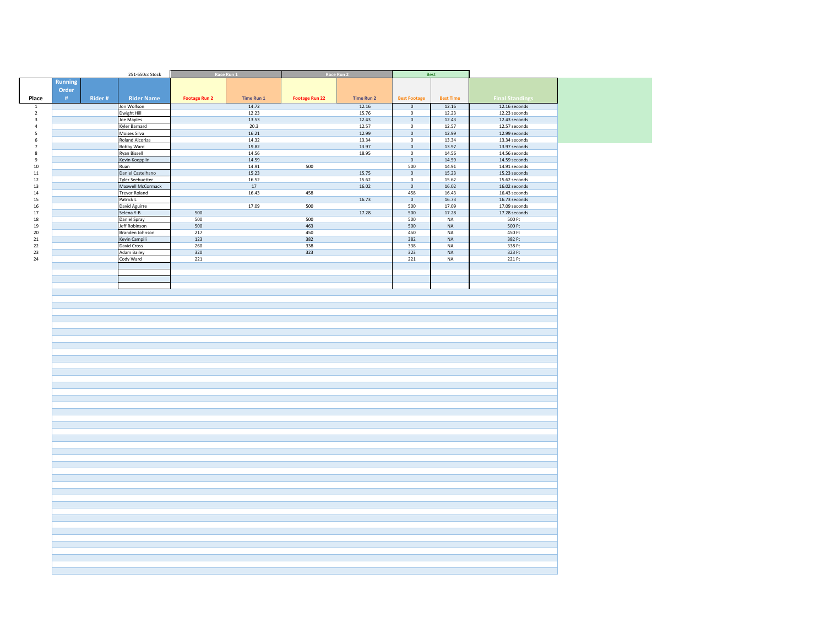|       |             | 251-650cc Stock              |                      | Race Run 1     | Race Run 2            |                   | Best                |                  |                                  |
|-------|-------------|------------------------------|----------------------|----------------|-----------------------|-------------------|---------------------|------------------|----------------------------------|
|       | Running     |                              |                      |                |                       |                   |                     |                  |                                  |
|       | Order       |                              |                      |                |                       |                   |                     |                  |                                  |
| Place | Rider#<br># | <b>Rider Name</b>            | <b>Footage Run 2</b> | Time Run 1     | <b>Footage Run 22</b> | <b>Time Run 2</b> | <b>Best Footage</b> | <b>Best Time</b> | <b>Final Standings</b>           |
|       |             | Jon Wolfson                  |                      | 14.72          |                       | 12.16             | $\circ$             | 12.16            | 12.16 seconds                    |
|       |             | Dwight Hill                  |                      | 12.23          |                       | 15.76             | $\mathbf 0$         | 12.23            | 12.23 seconds                    |
|       |             | Joe Maples                   |                      | 13.53          |                       | 12.43             | $\mathbf 0$         | 12.43            | 12.43 seconds                    |
|       |             | Kyler Barnard                |                      | 20.3           |                       | 12.57             | $\,$ 0              | 12.57            | 12.57 seconds                    |
|       |             | Moises Silva                 |                      | 16.21          |                       | 12.99             | $\mathbf 0$         | 12.99            | 12.99 seconds                    |
|       |             | Roland Alcoriza              |                      | 14.32          |                       | 13.34             | $\overline{0}$      | 13.34            | 13.34 seconds                    |
|       |             | <b>Bobby Ward</b>            |                      | 19.82          |                       | 13.97             | $\mathbf 0$         | 13.97            | 13.97 seconds                    |
|       |             | <b>Ryan Bissell</b>          |                      | 14.56<br>14.59 |                       | 18.95             | $\mathbf 0$         | 14.56<br>14.59   | 14.56 seconds                    |
|       |             | Kevin Koepplin<br>Ruan       |                      | 14.91          | 500                   |                   | $\,$ 0<br>500       | 14.91            | 14.59 seconds                    |
|       |             | Daniel Castelhano            |                      | 15.23          |                       | 15.75             | $\mathbb O$         | 15.23            | $14.91$ seconds<br>15.23 seconds |
|       |             | <b>Tyler Seehuetter</b>      |                      | 16.52          |                       | 15.62             | $\mathbf 0$         | 15.62            | 15.62 seconds                    |
|       |             | Maxwell McCormack            |                      | 17             |                       | 16.02             | $\mathbf 0$         | 16.02            | 16.02 seconds                    |
|       |             | <b>Trevor Roland</b>         |                      | 16.43          | 458                   |                   | 458                 | 16.43            | 16.43 seconds                    |
|       |             | Patrick L                    |                      |                |                       | 16.73             | $\mathbb O$         | 16.73            | 16.73 seconds                    |
|       |             | David Aguirre                |                      | 17.09          | 500                   |                   | 500                 | 17.09            | 17.09 seconds                    |
|       |             | Selena Y-B                   | 500                  |                |                       | 17.28             | 500                 | 17.28            | 17.28 seconds                    |
|       |             | Daniel Spray                 | 500                  |                | 500                   |                   | 500                 | NA               | 500 Ft                           |
|       |             | Jeff Robinson                | 500                  |                | 463                   |                   | 500                 | $\sf NA$         | 500 Ft                           |
|       |             | Branden Johnson              | 217                  |                | 450<br>382            |                   | 450                 | NA               | 450 Ft                           |
|       |             | Kevin Campili<br>David Cross | 123<br>260           |                | 338                   |                   | 382<br>338          | $\sf NA$<br>NA   | 382 Ft<br>338 Ft                 |
|       |             | <b>Adam Bailey</b>           | 320                  |                | 323                   |                   | 323                 | NA               | 323 Ft                           |
|       |             | Cody Ward                    | 221                  |                |                       |                   | 221                 | <b>NA</b>        | 221 Ft                           |
|       |             |                              |                      |                |                       |                   |                     |                  |                                  |
|       |             |                              |                      |                |                       |                   |                     |                  |                                  |
|       |             |                              |                      |                |                       |                   |                     |                  |                                  |
|       |             |                              |                      |                |                       |                   |                     |                  |                                  |
|       |             |                              |                      |                |                       |                   |                     |                  |                                  |
|       |             |                              |                      |                |                       |                   |                     |                  |                                  |
|       |             |                              |                      |                |                       |                   |                     |                  |                                  |
|       |             |                              |                      |                |                       |                   |                     |                  |                                  |
|       |             |                              |                      |                |                       |                   |                     |                  |                                  |
|       |             |                              |                      |                |                       |                   |                     |                  |                                  |
|       |             |                              |                      |                |                       |                   |                     |                  |                                  |
|       |             |                              |                      |                |                       |                   |                     |                  |                                  |
|       |             |                              |                      |                |                       |                   |                     |                  |                                  |
|       |             |                              |                      |                |                       |                   |                     |                  |                                  |
|       |             |                              |                      |                |                       |                   |                     |                  |                                  |
|       |             |                              |                      |                |                       |                   |                     |                  |                                  |
|       |             |                              |                      |                |                       |                   |                     |                  |                                  |
|       |             |                              |                      |                |                       |                   |                     |                  |                                  |
|       |             |                              |                      |                |                       |                   |                     |                  |                                  |
|       |             |                              |                      |                |                       |                   |                     |                  |                                  |
|       |             |                              |                      |                |                       |                   |                     |                  |                                  |
|       |             |                              |                      |                |                       |                   |                     |                  |                                  |
|       |             |                              |                      |                |                       |                   |                     |                  |                                  |
|       |             |                              |                      |                |                       |                   |                     |                  |                                  |
|       |             |                              |                      |                |                       |                   |                     |                  |                                  |
|       |             |                              |                      |                |                       |                   |                     |                  |                                  |
|       |             |                              |                      |                |                       |                   |                     |                  |                                  |
|       |             |                              |                      |                |                       |                   |                     |                  |                                  |
|       |             |                              |                      |                |                       |                   |                     |                  |                                  |
|       |             |                              |                      |                |                       |                   |                     |                  |                                  |
|       |             |                              |                      |                |                       |                   |                     |                  |                                  |
|       |             |                              |                      |                |                       |                   |                     |                  |                                  |
|       |             |                              |                      |                |                       |                   |                     |                  |                                  |
|       |             |                              |                      |                |                       |                   |                     |                  |                                  |
|       |             |                              |                      |                |                       |                   |                     |                  |                                  |
|       |             |                              |                      |                |                       |                   |                     |                  |                                  |
|       |             |                              |                      |                |                       |                   |                     |                  |                                  |
|       |             |                              |                      |                |                       |                   |                     |                  |                                  |
|       |             |                              |                      |                |                       |                   |                     |                  |                                  |
|       |             |                              |                      |                |                       |                   |                     |                  |                                  |
|       |             |                              |                      |                |                       |                   |                     |                  |                                  |
|       |             |                              |                      |                |                       |                   |                     |                  |                                  |
|       |             |                              |                      |                |                       |                   |                     |                  |                                  |
|       |             |                              |                      |                |                       |                   |                     |                  |                                  |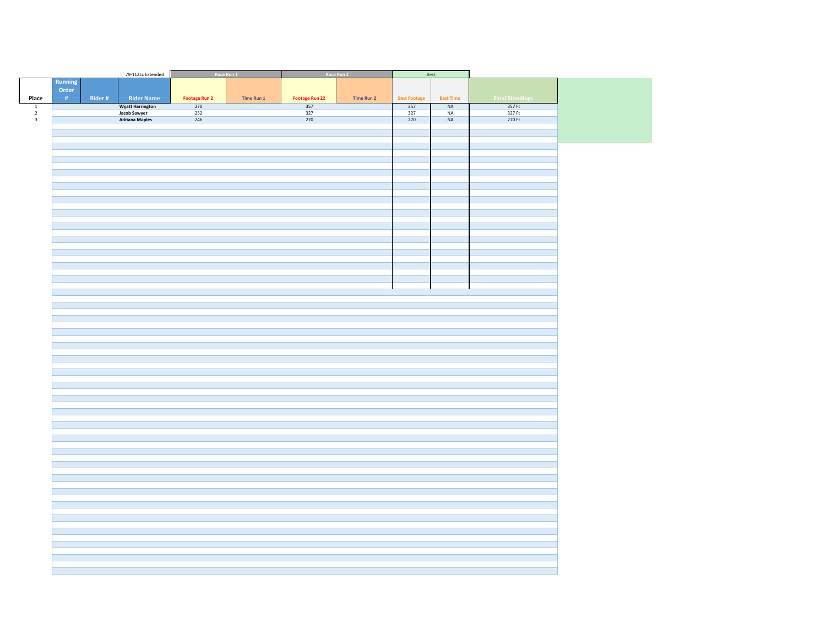|                                            |               |        | 79-112cc Extended              |                      | Race Run 1 |                       | Race Run 2 |                     | Best             |                        |  |
|--------------------------------------------|---------------|--------|--------------------------------|----------------------|------------|-----------------------|------------|---------------------|------------------|------------------------|--|
|                                            | Running       |        |                                |                      |            |                       |            |                     |                  |                        |  |
|                                            | Order         |        |                                |                      |            |                       |            |                     |                  |                        |  |
| Place                                      | $\pm$ 4 $\pm$ | Rider# | <b>Rider Name</b>              | <b>Footage Run 2</b> | Time Run 1 | <b>Footage Run 22</b> | Time Run 2 | <b>Best Footage</b> | <b>Best Time</b> | <b>Final Standings</b> |  |
|                                            |               |        |                                | 270                  |            | 357                   |            | 357                 | NA               | 357 Ft                 |  |
| $\begin{array}{c} 1 \\ 2 \\ 3 \end{array}$ |               |        | <b>Wyatt Harrington</b>        | 252                  |            | 327                   |            | 327                 | $\sf NA$         | 327 Ft                 |  |
|                                            |               |        | Jacob Sawyer<br>Adriana Maples | 246                  |            | 270                   |            | 270                 | $\sf NA$         | 270 Ft                 |  |
|                                            |               |        |                                |                      |            |                       |            |                     |                  |                        |  |
|                                            |               |        |                                |                      |            |                       |            |                     |                  |                        |  |
|                                            |               |        |                                |                      |            |                       |            |                     |                  |                        |  |
|                                            |               |        |                                |                      |            |                       |            |                     |                  |                        |  |
|                                            |               |        |                                |                      |            |                       |            |                     |                  |                        |  |
|                                            |               |        |                                |                      |            |                       |            |                     |                  |                        |  |
|                                            |               |        |                                |                      |            |                       |            |                     |                  |                        |  |
|                                            |               |        |                                |                      |            |                       |            |                     |                  |                        |  |
|                                            |               |        |                                |                      |            |                       |            |                     |                  |                        |  |
|                                            |               |        |                                |                      |            |                       |            |                     |                  |                        |  |
|                                            |               |        |                                |                      |            |                       |            |                     |                  |                        |  |
|                                            |               |        |                                |                      |            |                       |            |                     |                  |                        |  |
|                                            |               |        |                                |                      |            |                       |            |                     |                  |                        |  |
|                                            |               |        |                                |                      |            |                       |            |                     |                  |                        |  |
|                                            |               |        |                                |                      |            |                       |            |                     |                  |                        |  |
|                                            |               |        |                                |                      |            |                       |            |                     |                  |                        |  |
|                                            |               |        |                                |                      |            |                       |            |                     |                  |                        |  |
|                                            |               |        |                                |                      |            |                       |            |                     |                  |                        |  |
|                                            |               |        |                                |                      |            |                       |            |                     |                  |                        |  |
|                                            |               |        |                                |                      |            |                       |            |                     |                  |                        |  |
|                                            |               |        |                                |                      |            |                       |            |                     |                  |                        |  |
|                                            |               |        |                                |                      |            |                       |            |                     |                  |                        |  |
|                                            |               |        |                                |                      |            |                       |            |                     |                  |                        |  |
|                                            |               |        |                                |                      |            |                       |            |                     |                  |                        |  |
|                                            |               |        |                                |                      |            |                       |            |                     |                  |                        |  |
|                                            |               |        |                                |                      |            |                       |            |                     |                  |                        |  |
|                                            |               |        |                                |                      |            |                       |            |                     |                  |                        |  |
|                                            |               |        |                                |                      |            |                       |            |                     |                  |                        |  |
|                                            |               |        |                                |                      |            |                       |            |                     |                  |                        |  |
|                                            |               |        |                                |                      |            |                       |            |                     |                  |                        |  |
|                                            |               |        |                                |                      |            |                       |            |                     |                  |                        |  |
|                                            |               |        |                                |                      |            |                       |            |                     |                  |                        |  |
|                                            |               |        |                                |                      |            |                       |            |                     |                  |                        |  |
|                                            |               |        |                                |                      |            |                       |            |                     |                  |                        |  |
|                                            |               |        |                                |                      |            |                       |            |                     |                  |                        |  |
|                                            |               |        |                                |                      |            |                       |            |                     |                  |                        |  |
|                                            |               |        |                                |                      |            |                       |            |                     |                  |                        |  |
|                                            |               |        |                                |                      |            |                       |            |                     |                  |                        |  |
|                                            |               |        |                                |                      |            |                       |            |                     |                  |                        |  |
|                                            |               |        |                                |                      |            |                       |            |                     |                  |                        |  |
|                                            |               |        |                                |                      |            |                       |            |                     |                  |                        |  |
|                                            |               |        |                                |                      |            |                       |            |                     |                  |                        |  |
|                                            |               |        |                                |                      |            |                       |            |                     |                  |                        |  |
|                                            |               |        |                                |                      |            |                       |            |                     |                  |                        |  |
|                                            |               |        |                                |                      |            |                       |            |                     |                  |                        |  |
|                                            |               |        |                                |                      |            |                       |            |                     |                  |                        |  |
|                                            |               |        |                                |                      |            |                       |            |                     |                  |                        |  |
|                                            |               |        |                                |                      |            |                       |            |                     |                  |                        |  |
|                                            |               |        |                                |                      |            |                       |            |                     |                  |                        |  |
|                                            |               |        |                                |                      |            |                       |            |                     |                  |                        |  |
|                                            |               |        |                                |                      |            |                       |            |                     |                  |                        |  |
|                                            |               |        |                                |                      |            |                       |            |                     |                  |                        |  |
|                                            |               |        |                                |                      |            |                       |            |                     |                  |                        |  |
|                                            |               |        |                                |                      |            |                       |            |                     |                  |                        |  |
|                                            |               |        |                                |                      |            |                       |            |                     |                  |                        |  |
|                                            |               |        |                                |                      |            |                       |            |                     |                  |                        |  |
|                                            |               |        |                                |                      |            |                       |            |                     |                  |                        |  |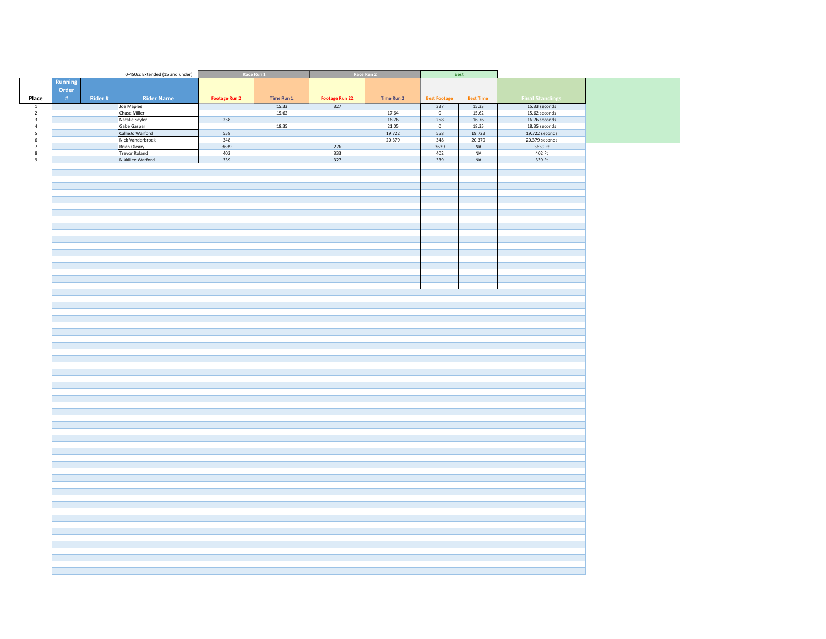|                          |             | 0-450cc Extended (15 and under)          | Race Run 1           |            |                       | Race Run 2        |                     | Best             |                        |
|--------------------------|-------------|------------------------------------------|----------------------|------------|-----------------------|-------------------|---------------------|------------------|------------------------|
|                          | Running     |                                          |                      |            |                       |                   |                     |                  |                        |
|                          | Order       |                                          |                      |            |                       |                   |                     |                  |                        |
| Place                    | Rider#<br># | <b>Rider Name</b>                        | <b>Footage Run 2</b> | Time Run 1 | <b>Footage Run 22</b> | <b>Time Run 2</b> | <b>Best Footage</b> | <b>Best Time</b> | <b>Final Standings</b> |
| $\,$ 1 $\,$              |             | Joe Maples                               |                      | 15.33      | 327                   |                   | 327                 | 15.33            | 15.33 seconds          |
| $\overline{2}$           |             | Chase Miller                             |                      | 15.62      |                       | 17.64             | $\overline{0}$      | 15.62            | 15.62 seconds          |
| $\sqrt{3}$               |             | Natalie Sayler                           | 258                  |            |                       | 16.76             | 258                 | 16.76            | 16.76 seconds          |
| $\overline{4}$           |             | Gabe Gaspar                              |                      | 18.35      |                       | 21.05             | $\mathbf 0$         | 18.35            | 18.35 seconds          |
| $\overline{\phantom{a}}$ |             | CallieJo Warford                         | 558                  |            |                       | 19.722            | 558                 | 19.722           | 19.722 seconds         |
| $\,$ 6 $\,$              |             | Nick Vanderbroek                         | 348                  |            |                       | 20.379            | 348                 | 20.379           | 20.379 seconds         |
| $7\,$                    |             | <b>Brian Oleary</b>                      | 3639                 |            | 276                   |                   | 3639                | $\sf NA$         | 3639 Ft                |
| $\bf{8}$<br>9            |             | <b>Trevor Roland</b><br>NikkiLee Warford | 402<br>339           |            | 333<br>327            |                   | 402<br>339          | NA<br>$\sf NA$   | 402 Ft<br>339 Ft       |
|                          |             |                                          |                      |            |                       |                   |                     |                  |                        |
|                          |             |                                          |                      |            |                       |                   |                     |                  |                        |
|                          |             |                                          |                      |            |                       |                   |                     |                  |                        |
|                          |             |                                          |                      |            |                       |                   |                     |                  |                        |
|                          |             |                                          |                      |            |                       |                   |                     |                  |                        |
|                          |             |                                          |                      |            |                       |                   |                     |                  |                        |
|                          |             |                                          |                      |            |                       |                   |                     |                  |                        |
|                          |             |                                          |                      |            |                       |                   |                     |                  |                        |
|                          |             |                                          |                      |            |                       |                   |                     |                  |                        |
|                          |             |                                          |                      |            |                       |                   |                     |                  |                        |
|                          |             |                                          |                      |            |                       |                   |                     |                  |                        |
|                          |             |                                          |                      |            |                       |                   |                     |                  |                        |
|                          |             |                                          |                      |            |                       |                   |                     |                  |                        |
|                          |             |                                          |                      |            |                       |                   |                     |                  |                        |
|                          |             |                                          |                      |            |                       |                   |                     |                  |                        |
|                          |             |                                          |                      |            |                       |                   |                     |                  |                        |
|                          |             |                                          |                      |            |                       |                   |                     |                  |                        |
|                          |             |                                          |                      |            |                       |                   |                     |                  |                        |
|                          |             |                                          |                      |            |                       |                   |                     |                  |                        |
|                          |             |                                          |                      |            |                       |                   |                     |                  |                        |
|                          |             |                                          |                      |            |                       |                   |                     |                  |                        |
|                          |             |                                          |                      |            |                       |                   |                     |                  |                        |
|                          |             |                                          |                      |            |                       |                   |                     |                  |                        |
|                          |             |                                          |                      |            |                       |                   |                     |                  |                        |
|                          |             |                                          |                      |            |                       |                   |                     |                  |                        |
|                          |             |                                          |                      |            |                       |                   |                     |                  |                        |
|                          |             |                                          |                      |            |                       |                   |                     |                  |                        |
|                          |             |                                          |                      |            |                       |                   |                     |                  |                        |
|                          |             |                                          |                      |            |                       |                   |                     |                  |                        |
|                          |             |                                          |                      |            |                       |                   |                     |                  |                        |
|                          |             |                                          |                      |            |                       |                   |                     |                  |                        |
|                          |             |                                          |                      |            |                       |                   |                     |                  |                        |
|                          |             |                                          |                      |            |                       |                   |                     |                  |                        |
|                          |             |                                          |                      |            |                       |                   |                     |                  |                        |
|                          |             |                                          |                      |            |                       |                   |                     |                  |                        |
|                          |             |                                          |                      |            |                       |                   |                     |                  |                        |
|                          |             |                                          |                      |            |                       |                   |                     |                  |                        |
|                          |             |                                          |                      |            |                       |                   |                     |                  |                        |
|                          |             |                                          |                      |            |                       |                   |                     |                  |                        |
|                          |             |                                          |                      |            |                       |                   |                     |                  |                        |
|                          |             |                                          |                      |            |                       |                   |                     |                  |                        |
|                          |             |                                          |                      |            |                       |                   |                     |                  |                        |
|                          |             |                                          |                      |            |                       |                   |                     |                  |                        |
|                          |             |                                          |                      |            |                       |                   |                     |                  |                        |
|                          |             |                                          |                      |            |                       |                   |                     |                  |                        |
|                          |             |                                          |                      |            |                       |                   |                     |                  |                        |
|                          |             |                                          |                      |            |                       |                   |                     |                  |                        |
|                          |             |                                          |                      |            |                       |                   |                     |                  |                        |
|                          |             |                                          |                      |            |                       |                   |                     |                  |                        |
|                          |             |                                          |                      |            |                       |                   |                     |                  |                        |
|                          |             |                                          |                      |            |                       |                   |                     |                  |                        |
|                          |             |                                          |                      |            |                       |                   |                     |                  |                        |
|                          |             |                                          |                      |            |                       |                   |                     |                  |                        |
|                          |             |                                          |                      |            |                       |                   |                     |                  |                        |
|                          |             |                                          |                      |            |                       |                   |                     |                  |                        |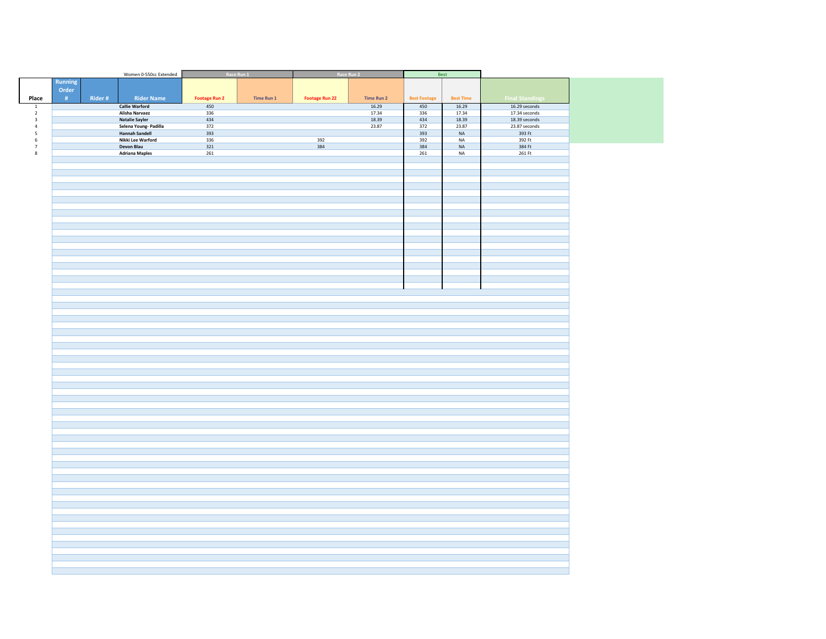|                                         |                |         | Women 0-550cc Extended                         | Race Run 1           |            | Race Run 2            |                | Best                |                  |                                |
|-----------------------------------------|----------------|---------|------------------------------------------------|----------------------|------------|-----------------------|----------------|---------------------|------------------|--------------------------------|
|                                         | <b>Running</b> |         |                                                |                      |            |                       |                |                     |                  |                                |
|                                         | Order          |         |                                                |                      |            |                       |                |                     |                  |                                |
| Place                                   | #              | Rider # | <b>Rider Name</b>                              |                      | Time Run 1 |                       | Time Run 2     | <b>Best Footage</b> | <b>Best Time</b> | <b>Final Standings</b>         |
|                                         |                |         |                                                | <b>Footage Run 2</b> |            | <b>Footage Run 22</b> |                |                     |                  |                                |
| $\overline{\mathbf{1}}$<br>$\mathbf{2}$ |                |         | <b>Callie Warford</b><br><b>Alisha Narvaez</b> | 450<br>336           |            |                       | 16.29<br>17.34 | 450<br>336          | 16.29<br>17.34   | 16.29 seconds<br>17.34 seconds |
| $\mathbf 3$                             |                |         | <b>Natalie Sayler</b>                          | 434                  |            |                       | 18.39          | 434                 | 18.39            | 18.39 seconds                  |
| $\sqrt{4}$                              |                |         | Selena Young- Padilla                          | 372                  |            |                       | 23.87          | 372                 | 23.87            | 23.87 seconds                  |
| ${\mathsf 5}$                           |                |         | <b>Hannah Sandell</b>                          | 393                  |            |                       |                | 393                 | $\sf NA$         | 393 Ft                         |
| $\,$ 6 $\,$                             |                |         | Nikki Lee Warford                              | 336                  |            | 392                   |                | 392                 | NA               | 392 Ft                         |
| $\overline{\mathbf{7}}$                 |                |         | Devon Blau                                     | 321                  |            | 384                   |                | 384                 | $_{\sf NA}$      | 384 Ft                         |
| $\bf8$                                  |                |         | <b>Adriana Maples</b>                          | 261                  |            |                       |                | 261                 | $_{\sf NA}$      | 261 Ft                         |
|                                         |                |         |                                                |                      |            |                       |                |                     |                  |                                |
|                                         |                |         |                                                |                      |            |                       |                |                     |                  |                                |
|                                         |                |         |                                                |                      |            |                       |                |                     |                  |                                |
|                                         |                |         |                                                |                      |            |                       |                |                     |                  |                                |
|                                         |                |         |                                                |                      |            |                       |                |                     |                  |                                |
|                                         |                |         |                                                |                      |            |                       |                |                     |                  |                                |
|                                         |                |         |                                                |                      |            |                       |                |                     |                  |                                |
|                                         |                |         |                                                |                      |            |                       |                |                     |                  |                                |
|                                         |                |         |                                                |                      |            |                       |                |                     |                  |                                |
|                                         |                |         |                                                |                      |            |                       |                |                     |                  |                                |
|                                         |                |         |                                                |                      |            |                       |                |                     |                  |                                |
|                                         |                |         |                                                |                      |            |                       |                |                     |                  |                                |
|                                         |                |         |                                                |                      |            |                       |                |                     |                  |                                |
|                                         |                |         |                                                |                      |            |                       |                |                     |                  |                                |
|                                         |                |         |                                                |                      |            |                       |                |                     |                  |                                |
|                                         |                |         |                                                |                      |            |                       |                |                     |                  |                                |
|                                         |                |         |                                                |                      |            |                       |                |                     |                  |                                |
|                                         |                |         |                                                |                      |            |                       |                |                     |                  |                                |
|                                         |                |         |                                                |                      |            |                       |                |                     |                  |                                |
|                                         |                |         |                                                |                      |            |                       |                |                     |                  |                                |
|                                         |                |         |                                                |                      |            |                       |                |                     |                  |                                |
|                                         |                |         |                                                |                      |            |                       |                |                     |                  |                                |
|                                         |                |         |                                                |                      |            |                       |                |                     |                  |                                |
|                                         |                |         |                                                |                      |            |                       |                |                     |                  |                                |
|                                         |                |         |                                                |                      |            |                       |                |                     |                  |                                |
|                                         |                |         |                                                |                      |            |                       |                |                     |                  |                                |
|                                         |                |         |                                                |                      |            |                       |                |                     |                  |                                |
|                                         |                |         |                                                |                      |            |                       |                |                     |                  |                                |
|                                         |                |         |                                                |                      |            |                       |                |                     |                  |                                |
|                                         |                |         |                                                |                      |            |                       |                |                     |                  |                                |
|                                         |                |         |                                                |                      |            |                       |                |                     |                  |                                |
|                                         |                |         |                                                |                      |            |                       |                |                     |                  |                                |
|                                         |                |         |                                                |                      |            |                       |                |                     |                  |                                |
|                                         |                |         |                                                |                      |            |                       |                |                     |                  |                                |
|                                         |                |         |                                                |                      |            |                       |                |                     |                  |                                |
|                                         |                |         |                                                |                      |            |                       |                |                     |                  |                                |
|                                         |                |         |                                                |                      |            |                       |                |                     |                  |                                |
|                                         |                |         |                                                |                      |            |                       |                |                     |                  |                                |
|                                         |                |         |                                                |                      |            |                       |                |                     |                  |                                |
|                                         |                |         |                                                |                      |            |                       |                |                     |                  |                                |
|                                         |                |         |                                                |                      |            |                       |                |                     |                  |                                |
|                                         |                |         |                                                |                      |            |                       |                |                     |                  |                                |
|                                         |                |         |                                                |                      |            |                       |                |                     |                  |                                |
|                                         |                |         |                                                |                      |            |                       |                |                     |                  |                                |
|                                         |                |         |                                                |                      |            |                       |                |                     |                  |                                |
|                                         |                |         |                                                |                      |            |                       |                |                     |                  |                                |
|                                         |                |         |                                                |                      |            |                       |                |                     |                  |                                |
|                                         |                |         |                                                |                      |            |                       |                |                     |                  |                                |
|                                         |                |         |                                                |                      |            |                       |                |                     |                  |                                |
|                                         |                |         |                                                |                      |            |                       |                |                     |                  |                                |
|                                         |                |         |                                                |                      |            |                       |                |                     |                  |                                |
|                                         |                |         |                                                |                      |            |                       |                |                     |                  |                                |
|                                         |                |         |                                                |                      |            |                       |                |                     |                  |                                |
|                                         |                |         |                                                |                      |            |                       |                |                     |                  |                                |
|                                         |                |         |                                                |                      |            |                       |                |                     |                  |                                |
|                                         |                |         |                                                |                      |            |                       |                |                     |                  |                                |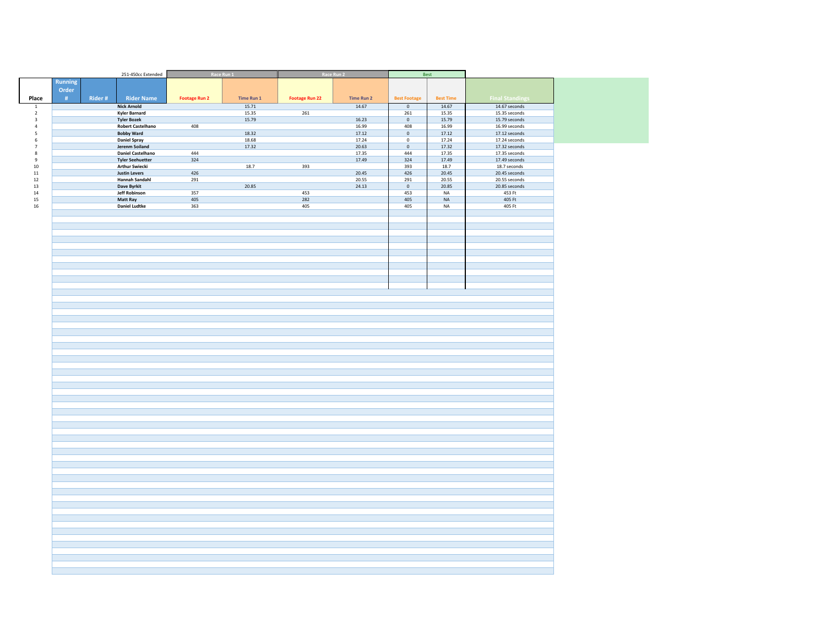|                          |         |        | 251-450cc Extended                    | Race Run 1           |                | Race Run 2            |                   | Best                       |                  |                                |
|--------------------------|---------|--------|---------------------------------------|----------------------|----------------|-----------------------|-------------------|----------------------------|------------------|--------------------------------|
|                          | Running |        |                                       |                      |                |                       |                   |                            |                  |                                |
|                          | Order   |        |                                       |                      |                |                       |                   |                            |                  |                                |
| Place                    | #       | Rider# | <b>Rider Name</b>                     | <b>Footage Run 2</b> | Time Run 1     | <b>Footage Run 22</b> | <b>Time Run 2</b> | <b>Best Footage</b>        | <b>Best Time</b> | <b>Final Standings</b>         |
| $\,$ 1 $\,$              |         |        | <b>Nick Arnold</b>                    |                      | 15.71          |                       | 14.67             | $\mathbf 0$                | 14.67            | 14.67 seconds                  |
| $\overline{2}$           |         |        | Kyler Barnard                         |                      | 15.35          | 261                   |                   | 261                        | 15.35            | 15.35 seconds                  |
| $\overline{\mathbf{3}}$  |         |        | <b>Tyler Bozek</b>                    |                      | 15.79          |                       | 16.23             | $\mathbf 0$                | 15.79            | 15.79 seconds                  |
| $\overline{4}$           |         |        | <b>Robert Castelhano</b>              | 408                  |                |                       | 16.99             | 408                        | 16.99            | 16.99 seconds                  |
| $\overline{\phantom{a}}$ |         |        | <b>Bobby Ward</b>                     |                      | 18.32          |                       | 17.12             | $\mathbf 0$                | 17.12            | 17.12 seconds                  |
| 6<br>$\scriptstyle\rm 7$ |         |        | <b>Daniel Spray</b><br>Jerenm Soiland |                      | 18.68<br>17.32 |                       | 17.24<br>20.63    | $\mathbf 0$<br>$\mathbf 0$ | 17.24<br>17.32   | 17.24 seconds<br>17.32 seconds |
| $\bf8$                   |         |        | <b>Daniel Castelhano</b>              | 444                  |                |                       | 17.35             | 444                        | 17.35            | 17.35 seconds                  |
| $\boldsymbol{9}$         |         |        | <b>Tyler Seehuetter</b>               | 324                  |                |                       | 17.49             | 324                        | 17.49            | 17.49 seconds                  |
| $10\,$                   |         |        | <b>Arthur Swiecki</b>                 |                      | 18.7           | 393                   |                   | 393                        | 18.7             | 18.7 seconds                   |
| $11\,$                   |         |        | <b>Justin Levers</b>                  | 426                  |                |                       | 20.45             | 426                        | 20.45            | 20.45 seconds                  |
| 12                       |         |        | <b>Hannah Sandahl</b>                 | 291                  |                |                       | 20.55             | 291                        | 20.55            | 20.55 seconds                  |
| 13<br>14                 |         |        | Dave Byrkit<br>Jeff Robinson          | 357                  | 20.85          | 453                   | 24.13             | $\mathsf{O}$<br>453        | 20.85<br>NA      | 20.85 seconds<br>453 Ft        |
| 15                       |         |        | <b>Matt Ray</b>                       | 405                  |                | 282                   |                   | 405                        | $_{\sf NA}$      | 405 Ft                         |
| 16                       |         |        | <b>Daniel Ludtke</b>                  | 363                  |                | 405                   |                   | 405                        | NA               | 405 Ft                         |
|                          |         |        |                                       |                      |                |                       |                   |                            |                  |                                |
|                          |         |        |                                       |                      |                |                       |                   |                            |                  |                                |
|                          |         |        |                                       |                      |                |                       |                   |                            |                  |                                |
|                          |         |        |                                       |                      |                |                       |                   |                            |                  |                                |
|                          |         |        |                                       |                      |                |                       |                   |                            |                  |                                |
|                          |         |        |                                       |                      |                |                       |                   |                            |                  |                                |
|                          |         |        |                                       |                      |                |                       |                   |                            |                  |                                |
|                          |         |        |                                       |                      |                |                       |                   |                            |                  |                                |
|                          |         |        |                                       |                      |                |                       |                   |                            |                  |                                |
|                          |         |        |                                       |                      |                |                       |                   |                            |                  |                                |
|                          |         |        |                                       |                      |                |                       |                   |                            |                  |                                |
|                          |         |        |                                       |                      |                |                       |                   |                            |                  |                                |
|                          |         |        |                                       |                      |                |                       |                   |                            |                  |                                |
|                          |         |        |                                       |                      |                |                       |                   |                            |                  |                                |
|                          |         |        |                                       |                      |                |                       |                   |                            |                  |                                |
|                          |         |        |                                       |                      |                |                       |                   |                            |                  |                                |
|                          |         |        |                                       |                      |                |                       |                   |                            |                  |                                |
|                          |         |        |                                       |                      |                |                       |                   |                            |                  |                                |
|                          |         |        |                                       |                      |                |                       |                   |                            |                  |                                |
|                          |         |        |                                       |                      |                |                       |                   |                            |                  |                                |
|                          |         |        |                                       |                      |                |                       |                   |                            |                  |                                |
|                          |         |        |                                       |                      |                |                       |                   |                            |                  |                                |
|                          |         |        |                                       |                      |                |                       |                   |                            |                  |                                |
|                          |         |        |                                       |                      |                |                       |                   |                            |                  |                                |
|                          |         |        |                                       |                      |                |                       |                   |                            |                  |                                |
|                          |         |        |                                       |                      |                |                       |                   |                            |                  |                                |
|                          |         |        |                                       |                      |                |                       |                   |                            |                  |                                |
|                          |         |        |                                       |                      |                |                       |                   |                            |                  |                                |
|                          |         |        |                                       |                      |                |                       |                   |                            |                  |                                |
|                          |         |        |                                       |                      |                |                       |                   |                            |                  |                                |
|                          |         |        |                                       |                      |                |                       |                   |                            |                  |                                |
|                          |         |        |                                       |                      |                |                       |                   |                            |                  |                                |
|                          |         |        |                                       |                      |                |                       |                   |                            |                  |                                |
|                          |         |        |                                       |                      |                |                       |                   |                            |                  |                                |
|                          |         |        |                                       |                      |                |                       |                   |                            |                  |                                |
|                          |         |        |                                       |                      |                |                       |                   |                            |                  |                                |
|                          |         |        |                                       |                      |                |                       |                   |                            |                  |                                |
|                          |         |        |                                       |                      |                |                       |                   |                            |                  |                                |
|                          |         |        |                                       |                      |                |                       |                   |                            |                  |                                |
|                          |         |        |                                       |                      |                |                       |                   |                            |                  |                                |
|                          |         |        |                                       |                      |                |                       |                   |                            |                  |                                |
|                          |         |        |                                       |                      |                |                       |                   |                            |                  |                                |
|                          |         |        |                                       |                      |                |                       |                   |                            |                  |                                |
|                          |         |        |                                       |                      |                |                       |                   |                            |                  |                                |
|                          |         |        |                                       |                      |                |                       |                   |                            |                  |                                |
|                          |         |        |                                       |                      |                |                       |                   |                            |                  |                                |
|                          |         |        |                                       |                      |                |                       |                   |                            |                  |                                |